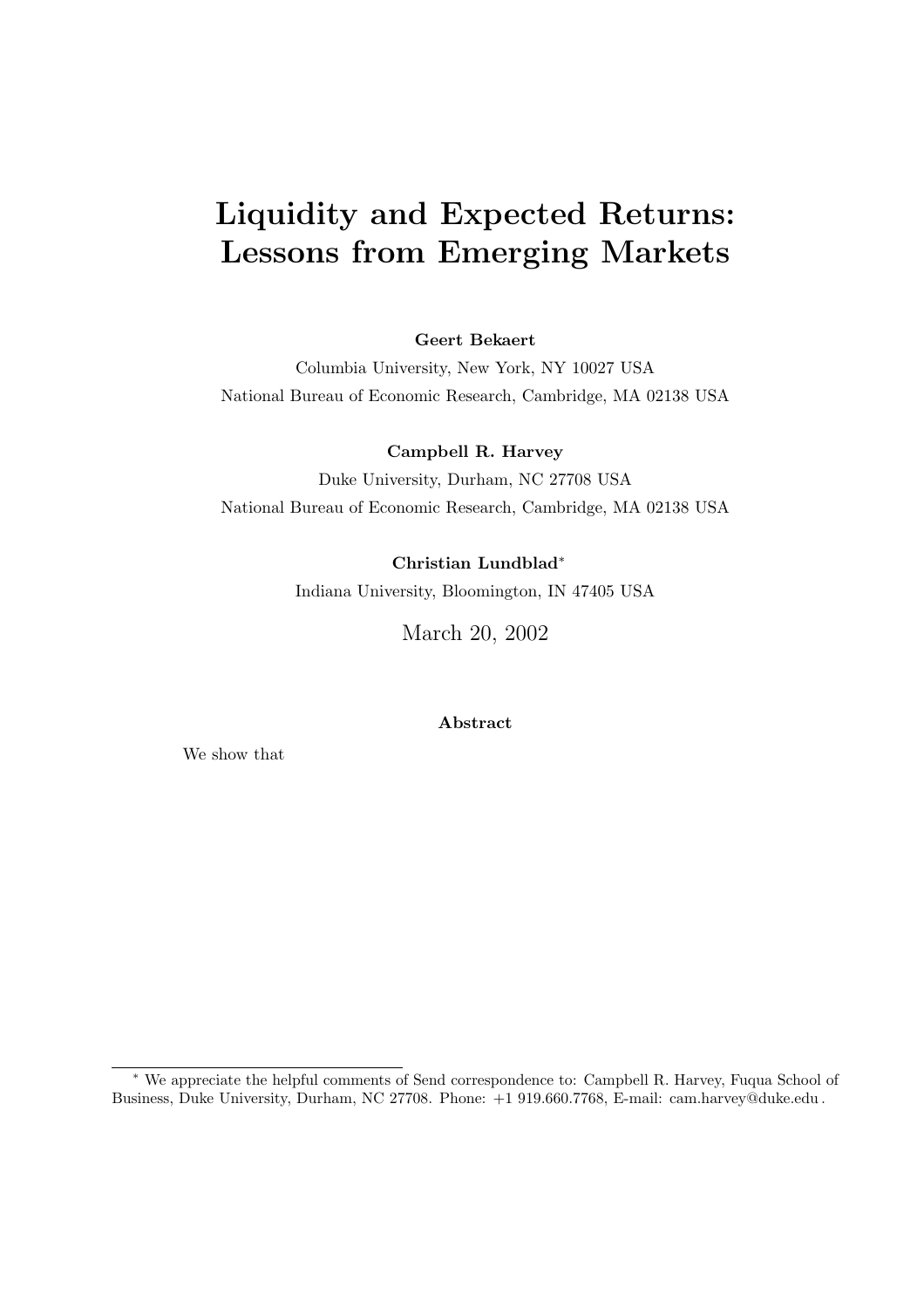# **Liquidity and Expected Returns: Lessons from Emerging Markets**

#### **Geert Bekaert**

Columbia University, New York, NY 10027 USA National Bureau of Economic Research, Cambridge, MA 02138 USA

#### **Campbell R. Harvey**

Duke University, Durham, NC 27708 USA National Bureau of Economic Research, Cambridge, MA 02138 USA

#### **Christian Lundblad**∗

Indiana University, Bloomington, IN 47405 USA

March 20, 2002

**Abstract**

We show that

<sup>∗</sup> We appreciate the helpful comments of Send correspondence to: Campbell R. Harvey, Fuqua School of Business, Duke University, Durham, NC 27708. Phone: +1 919.660.7768, E-mail: cam.harvey@duke.edu .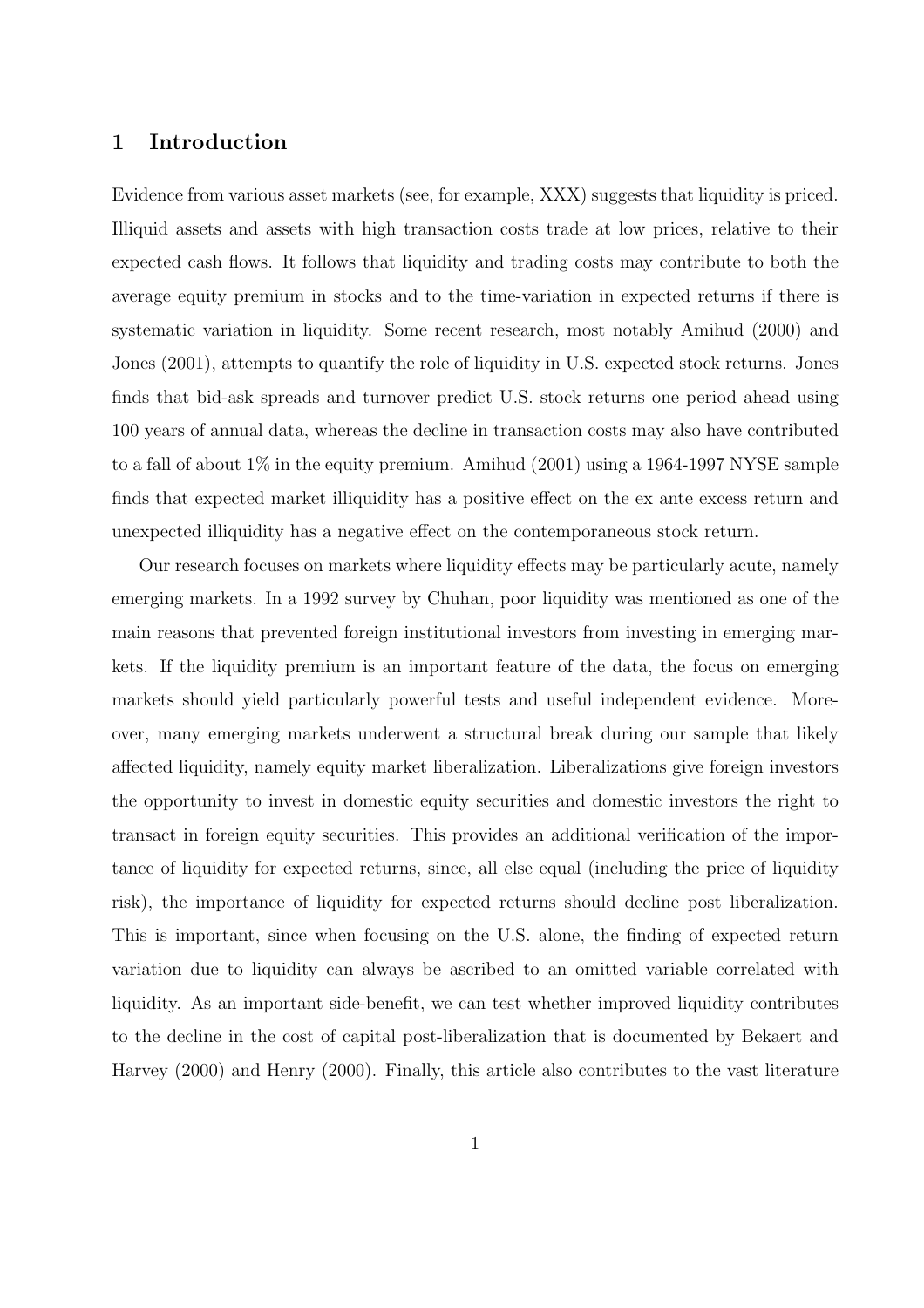### **1 Introduction**

Evidence from various asset markets (see, for example, XXX) suggests that liquidity is priced. Illiquid assets and assets with high transaction costs trade at low prices, relative to their expected cash flows. It follows that liquidity and trading costs may contribute to both the average equity premium in stocks and to the time-variation in expected returns if there is systematic variation in liquidity. Some recent research, most notably Amihud (2000) and Jones (2001), attempts to quantify the role of liquidity in U.S. expected stock returns. Jones finds that bid-ask spreads and turnover predict U.S. stock returns one period ahead using 100 years of annual data, whereas the decline in transaction costs may also have contributed to a fall of about 1% in the equity premium. Amihud (2001) using a 1964-1997 NYSE sample finds that expected market illiquidity has a positive effect on the ex ante excess return and unexpected illiquidity has a negative effect on the contemporaneous stock return.

Our research focuses on markets where liquidity effects may be particularly acute, namely emerging markets. In a 1992 survey by Chuhan, poor liquidity was mentioned as one of the main reasons that prevented foreign institutional investors from investing in emerging markets. If the liquidity premium is an important feature of the data, the focus on emerging markets should yield particularly powerful tests and useful independent evidence. Moreover, many emerging markets underwent a structural break during our sample that likely affected liquidity, namely equity market liberalization. Liberalizations give foreign investors the opportunity to invest in domestic equity securities and domestic investors the right to transact in foreign equity securities. This provides an additional verification of the importance of liquidity for expected returns, since, all else equal (including the price of liquidity risk), the importance of liquidity for expected returns should decline post liberalization. This is important, since when focusing on the U.S. alone, the finding of expected return variation due to liquidity can always be ascribed to an omitted variable correlated with liquidity. As an important side-benefit, we can test whether improved liquidity contributes to the decline in the cost of capital post-liberalization that is documented by Bekaert and Harvey (2000) and Henry (2000). Finally, this article also contributes to the vast literature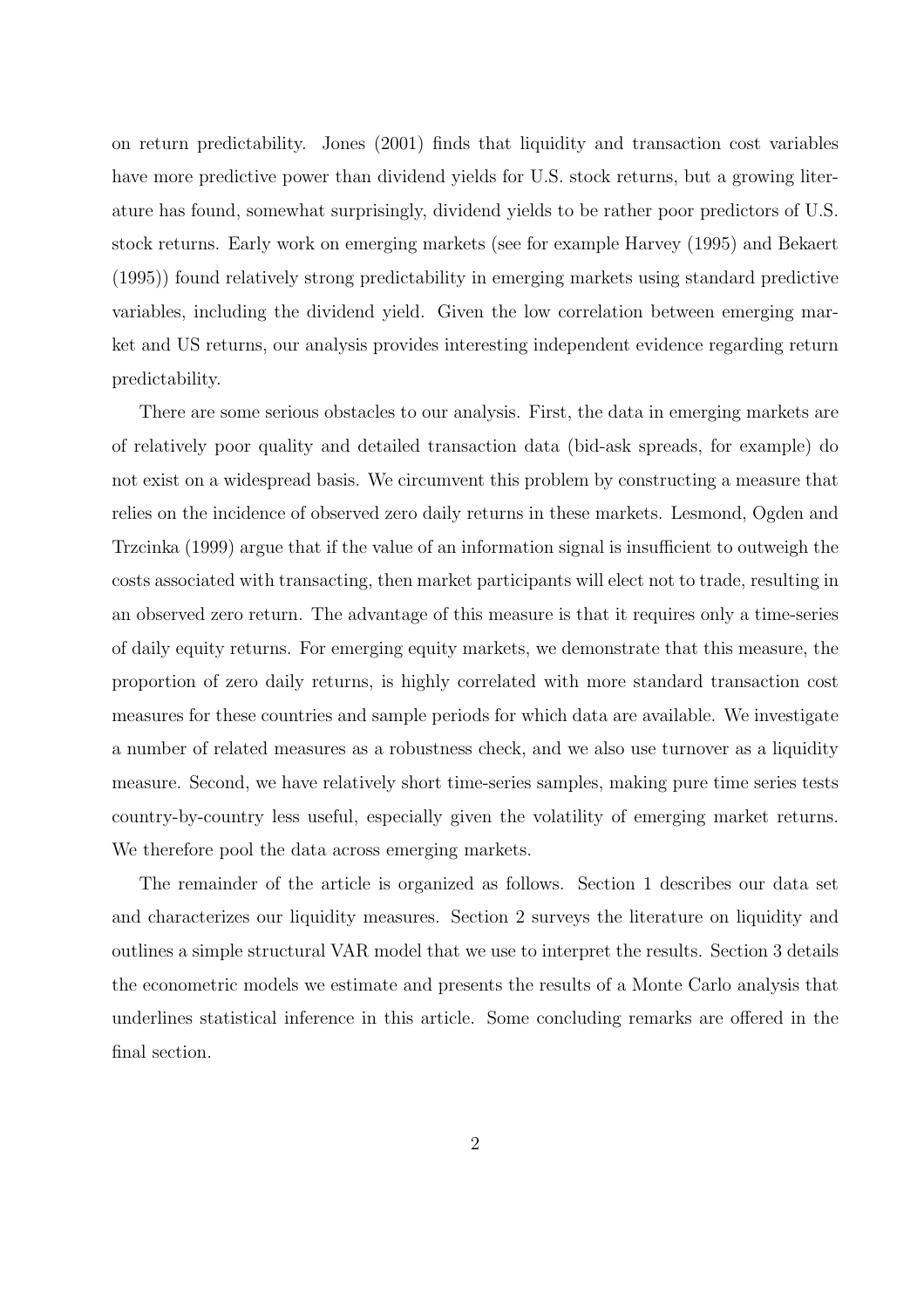on return predictability. Jones (2001) finds that liquidity and transaction cost variables have more predictive power than dividend yields for U.S. stock returns, but a growing literature has found, somewhat surprisingly, dividend yields to be rather poor predictors of U.S. stock returns. Early work on emerging markets (see for example Harvey (1995) and Bekaert (1995)) found relatively strong predictability in emerging markets using standard predictive variables, including the dividend yield. Given the low correlation between emerging market and US returns, our analysis provides interesting independent evidence regarding return predictability.

There are some serious obstacles to our analysis. First, the data in emerging markets are of relatively poor quality and detailed transaction data (bid-ask spreads, for example) do not exist on a widespread basis. We circumvent this problem by constructing a measure that relies on the incidence of observed zero daily returns in these markets. Lesmond, Ogden and Trzcinka (1999) argue that if the value of an information signal is insufficient to outweigh the costs associated with transacting, then market participants will elect not to trade, resulting in an observed zero return. The advantage of this measure is that it requires only a time-series of daily equity returns. For emerging equity markets, we demonstrate that this measure, the proportion of zero daily returns, is highly correlated with more standard transaction cost measures for these countries and sample periods for which data are available. We investigate a number of related measures as a robustness check, and we also use turnover as a liquidity measure. Second, we have relatively short time-series samples, making pure time series tests country-by-country less useful, especially given the volatility of emerging market returns. We therefore pool the data across emerging markets.

The remainder of the article is organized as follows. Section 1 describes our data set and characterizes our liquidity measures. Section 2 surveys the literature on liquidity and outlines a simple structural VAR model that we use to interpret the results. Section 3 details the econometric models we estimate and presents the results of a Monte Carlo analysis that underlines statistical inference in this article. Some concluding remarks are offered in the final section.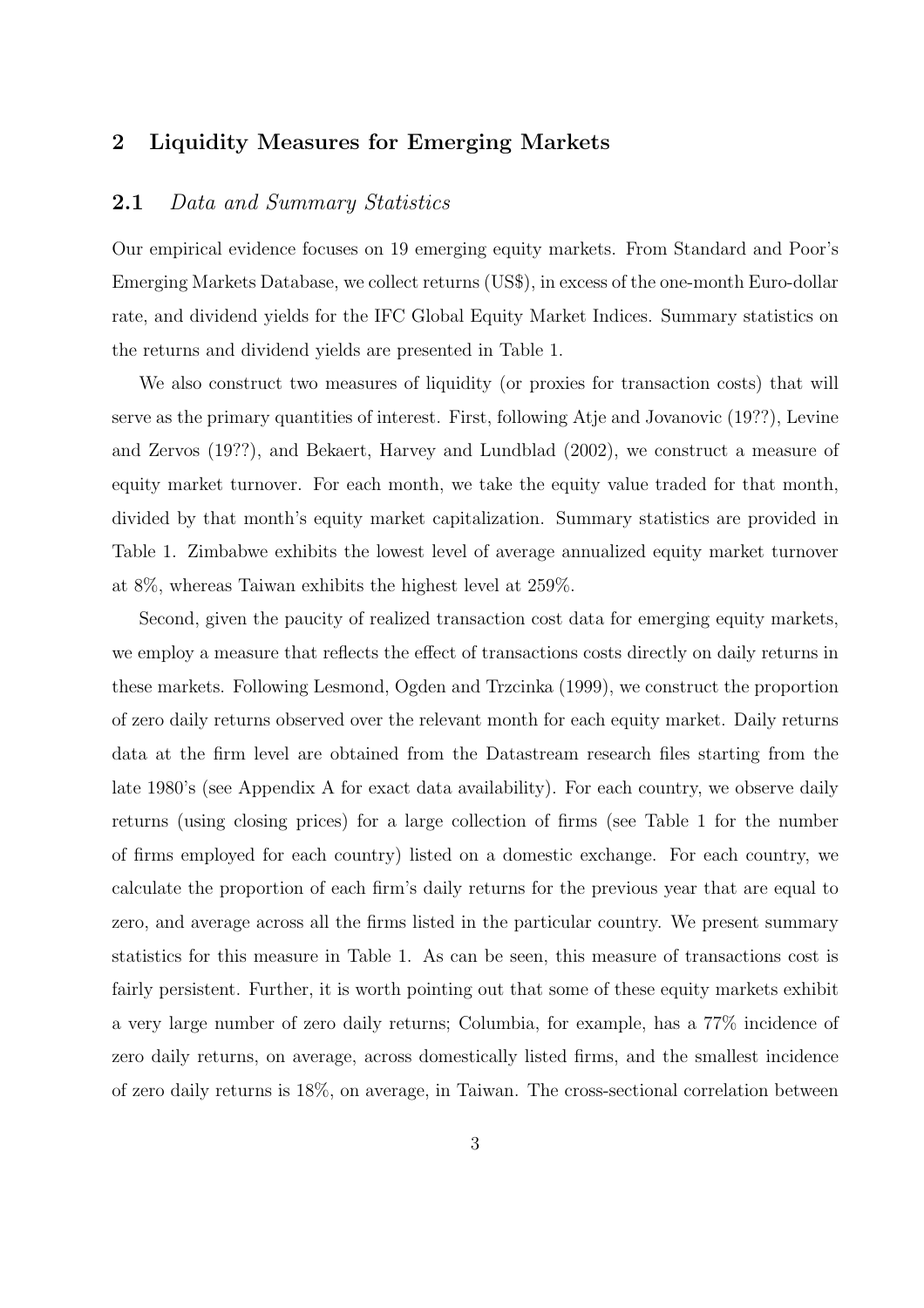### **2 Liquidity Measures for Emerging Markets**

### **2.1** Data and Summary Statistics

Our empirical evidence focuses on 19 emerging equity markets. From Standard and Poor's Emerging Markets Database, we collect returns (US\$), in excess of the one-month Euro-dollar rate, and dividend yields for the IFC Global Equity Market Indices. Summary statistics on the returns and dividend yields are presented in Table 1.

We also construct two measures of liquidity (or proxies for transaction costs) that will serve as the primary quantities of interest. First, following Atje and Jovanovic (19??), Levine and Zervos (19??), and Bekaert, Harvey and Lundblad (2002), we construct a measure of equity market turnover. For each month, we take the equity value traded for that month, divided by that month's equity market capitalization. Summary statistics are provided in Table 1. Zimbabwe exhibits the lowest level of average annualized equity market turnover at 8%, whereas Taiwan exhibits the highest level at 259%.

Second, given the paucity of realized transaction cost data for emerging equity markets, we employ a measure that reflects the effect of transactions costs directly on daily returns in these markets. Following Lesmond, Ogden and Trzcinka (1999), we construct the proportion of zero daily returns observed over the relevant month for each equity market. Daily returns data at the firm level are obtained from the Datastream research files starting from the late 1980's (see Appendix A for exact data availability). For each country, we observe daily returns (using closing prices) for a large collection of firms (see Table 1 for the number of firms employed for each country) listed on a domestic exchange. For each country, we calculate the proportion of each firm's daily returns for the previous year that are equal to zero, and average across all the firms listed in the particular country. We present summary statistics for this measure in Table 1. As can be seen, this measure of transactions cost is fairly persistent. Further, it is worth pointing out that some of these equity markets exhibit a very large number of zero daily returns; Columbia, for example, has a 77% incidence of zero daily returns, on average, across domestically listed firms, and the smallest incidence of zero daily returns is 18%, on average, in Taiwan. The cross-sectional correlation between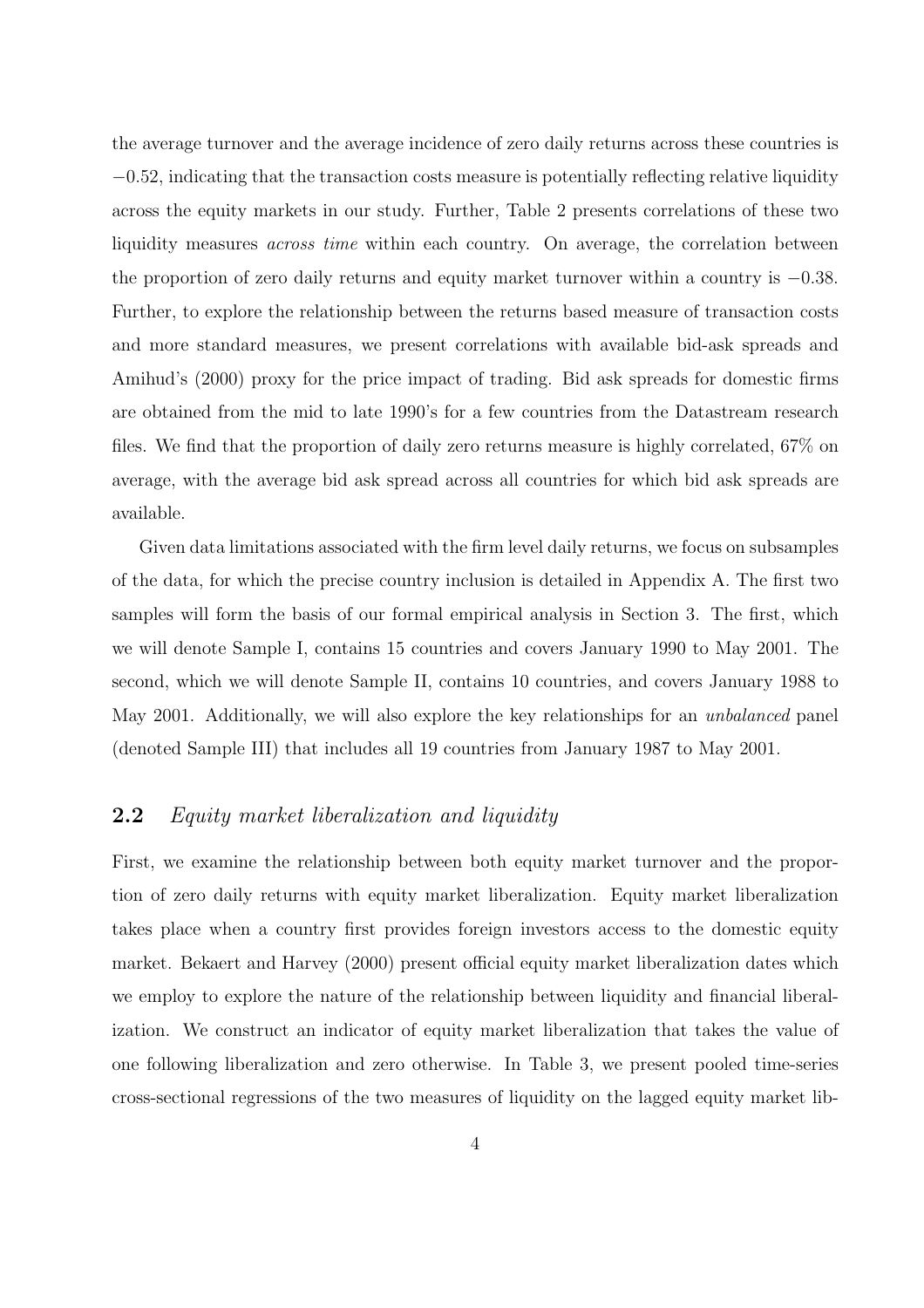the average turnover and the average incidence of zero daily returns across these countries is <sup>−</sup>0.52, indicating that the transaction costs measure is potentially reflecting relative liquidity across the equity markets in our study. Further, Table 2 presents correlations of these two liquidity measures *across time* within each country. On average, the correlation between the proportion of zero daily returns and equity market turnover within a country is <sup>−</sup>0.38. Further, to explore the relationship between the returns based measure of transaction costs and more standard measures, we present correlations with available bid-ask spreads and Amihud's (2000) proxy for the price impact of trading. Bid ask spreads for domestic firms are obtained from the mid to late 1990's for a few countries from the Datastream research files. We find that the proportion of daily zero returns measure is highly correlated, 67% on average, with the average bid ask spread across all countries for which bid ask spreads are available.

Given data limitations associated with the firm level daily returns, we focus on subsamples of the data, for which the precise country inclusion is detailed in Appendix A. The first two samples will form the basis of our formal empirical analysis in Section 3. The first, which we will denote Sample I, contains 15 countries and covers January 1990 to May 2001. The second, which we will denote Sample II, contains 10 countries, and covers January 1988 to May 2001. Additionally, we will also explore the key relationships for an unbalanced panel (denoted Sample III) that includes all 19 countries from January 1987 to May 2001.

### **2.2** Equity market liberalization and liquidity

First, we examine the relationship between both equity market turnover and the proportion of zero daily returns with equity market liberalization. Equity market liberalization takes place when a country first provides foreign investors access to the domestic equity market. Bekaert and Harvey (2000) present official equity market liberalization dates which we employ to explore the nature of the relationship between liquidity and financial liberalization. We construct an indicator of equity market liberalization that takes the value of one following liberalization and zero otherwise. In Table 3, we present pooled time-series cross-sectional regressions of the two measures of liquidity on the lagged equity market lib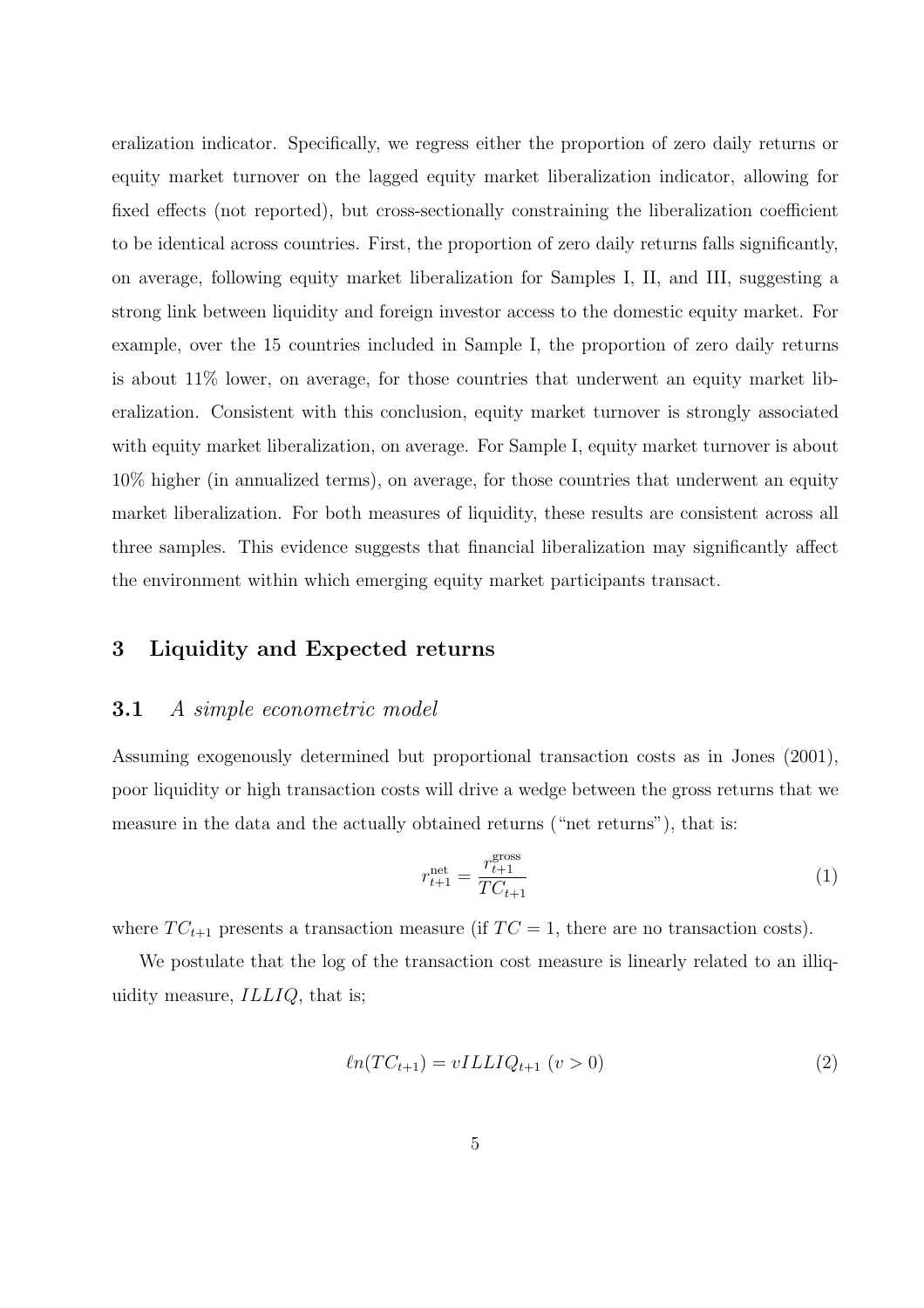eralization indicator. Specifically, we regress either the proportion of zero daily returns or equity market turnover on the lagged equity market liberalization indicator, allowing for fixed effects (not reported), but cross-sectionally constraining the liberalization coefficient to be identical across countries. First, the proportion of zero daily returns falls significantly, on average, following equity market liberalization for Samples I, II, and III, suggesting a strong link between liquidity and foreign investor access to the domestic equity market. For example, over the 15 countries included in Sample I, the proportion of zero daily returns is about 11% lower, on average, for those countries that underwent an equity market liberalization. Consistent with this conclusion, equity market turnover is strongly associated with equity market liberalization, on average. For Sample I, equity market turnover is about 10% higher (in annualized terms), on average, for those countries that underwent an equity market liberalization. For both measures of liquidity, these results are consistent across all three samples. This evidence suggests that financial liberalization may significantly affect the environment within which emerging equity market participants transact.

### **3 Liquidity and Expected returns**

#### **3.1** A simple econometric model

Assuming exogenously determined but proportional transaction costs as in Jones (2001), poor liquidity or high transaction costs will drive a wedge between the gross returns that we measure in the data and the actually obtained returns ("net returns"), that is:

$$
r_{t+1}^{\text{net}} = \frac{r_{t+1}^{\text{gross}}}{TC_{t+1}}
$$
 (1)

where  $TC_{t+1}$  presents a transaction measure (if  $TC = 1$ , there are no transaction costs).

We postulate that the log of the transaction cost measure is linearly related to an illiquidity measure, ILLIQ, that is;

$$
ln(TC_{t+1}) = vILLIQ_{t+1} \ (v > 0)
$$
\n
$$
(2)
$$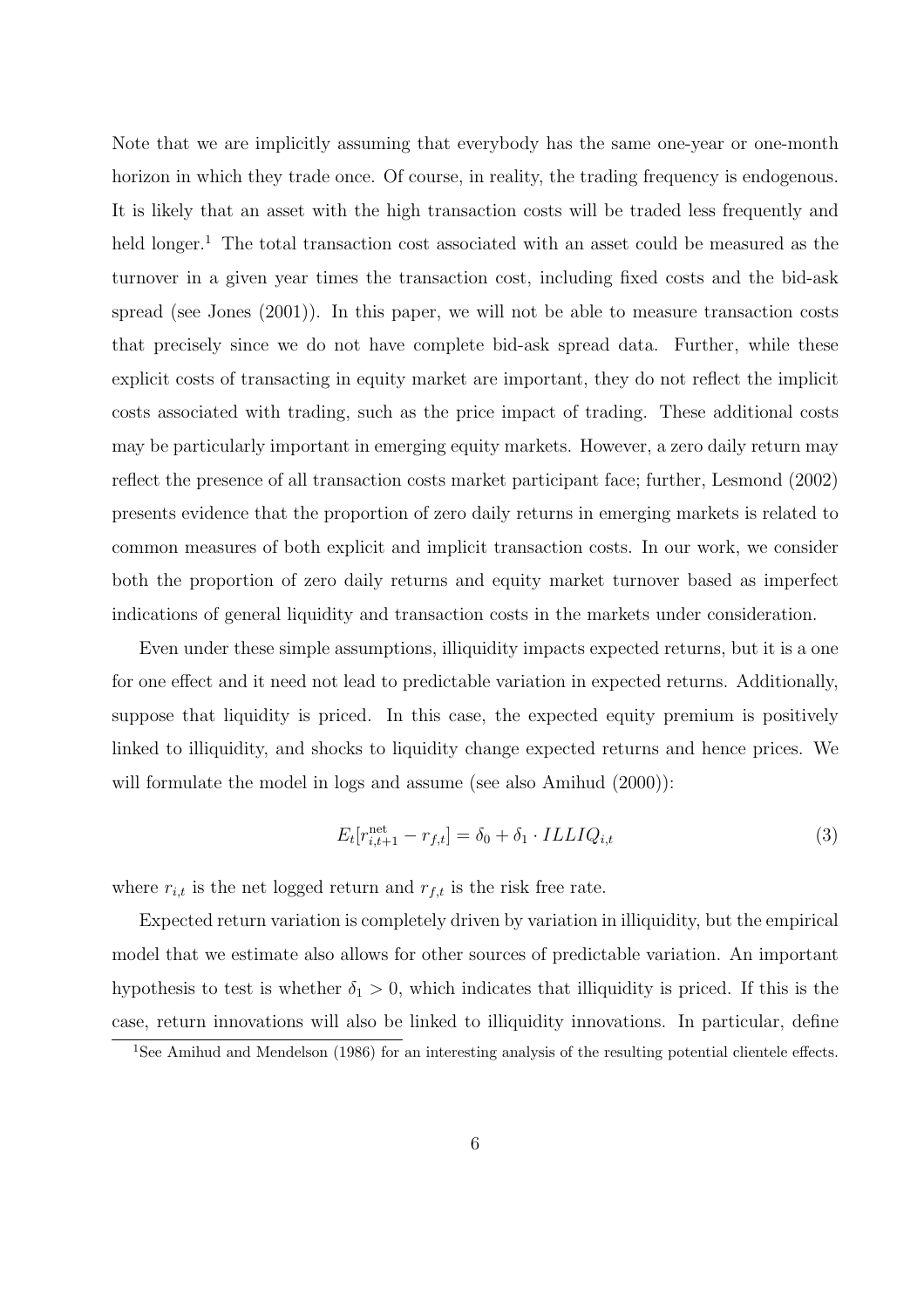Note that we are implicitly assuming that everybody has the same one-year or one-month horizon in which they trade once. Of course, in reality, the trading frequency is endogenous. It is likely that an asset with the high transaction costs will be traded less frequently and held longer.<sup>1</sup> The total transaction cost associated with an asset could be measured as the turnover in a given year times the transaction cost, including fixed costs and the bid-ask spread (see Jones (2001)). In this paper, we will not be able to measure transaction costs that precisely since we do not have complete bid-ask spread data. Further, while these explicit costs of transacting in equity market are important, they do not reflect the implicit costs associated with trading, such as the price impact of trading. These additional costs may be particularly important in emerging equity markets. However, a zero daily return may reflect the presence of all transaction costs market participant face; further, Lesmond (2002) presents evidence that the proportion of zero daily returns in emerging markets is related to common measures of both explicit and implicit transaction costs. In our work, we consider both the proportion of zero daily returns and equity market turnover based as imperfect indications of general liquidity and transaction costs in the markets under consideration.

Even under these simple assumptions, illiquidity impacts expected returns, but it is a one for one effect and it need not lead to predictable variation in expected returns. Additionally, suppose that liquidity is priced. In this case, the expected equity premium is positively linked to illiquidity, and shocks to liquidity change expected returns and hence prices. We will formulate the model in logs and assume (see also Amihud  $(2000)$ ):

$$
E_t[r_{i,t+1}^{\text{net}} - r_{f,t}] = \delta_0 + \delta_1 \cdot ILLIQ_{i,t}
$$
\n(3)

where  $r_{i,t}$  is the net logged return and  $r_{f,t}$  is the risk free rate.

Expected return variation is completely driven by variation in illiquidity, but the empirical model that we estimate also allows for other sources of predictable variation. An important hypothesis to test is whether  $\delta_1 > 0$ , which indicates that illiquidity is priced. If this is the case, return innovations will also be linked to illiquidity innovations. In particular, define

<sup>&</sup>lt;sup>1</sup>See Amihud and Mendelson (1986) for an interesting analysis of the resulting potential clientele effects.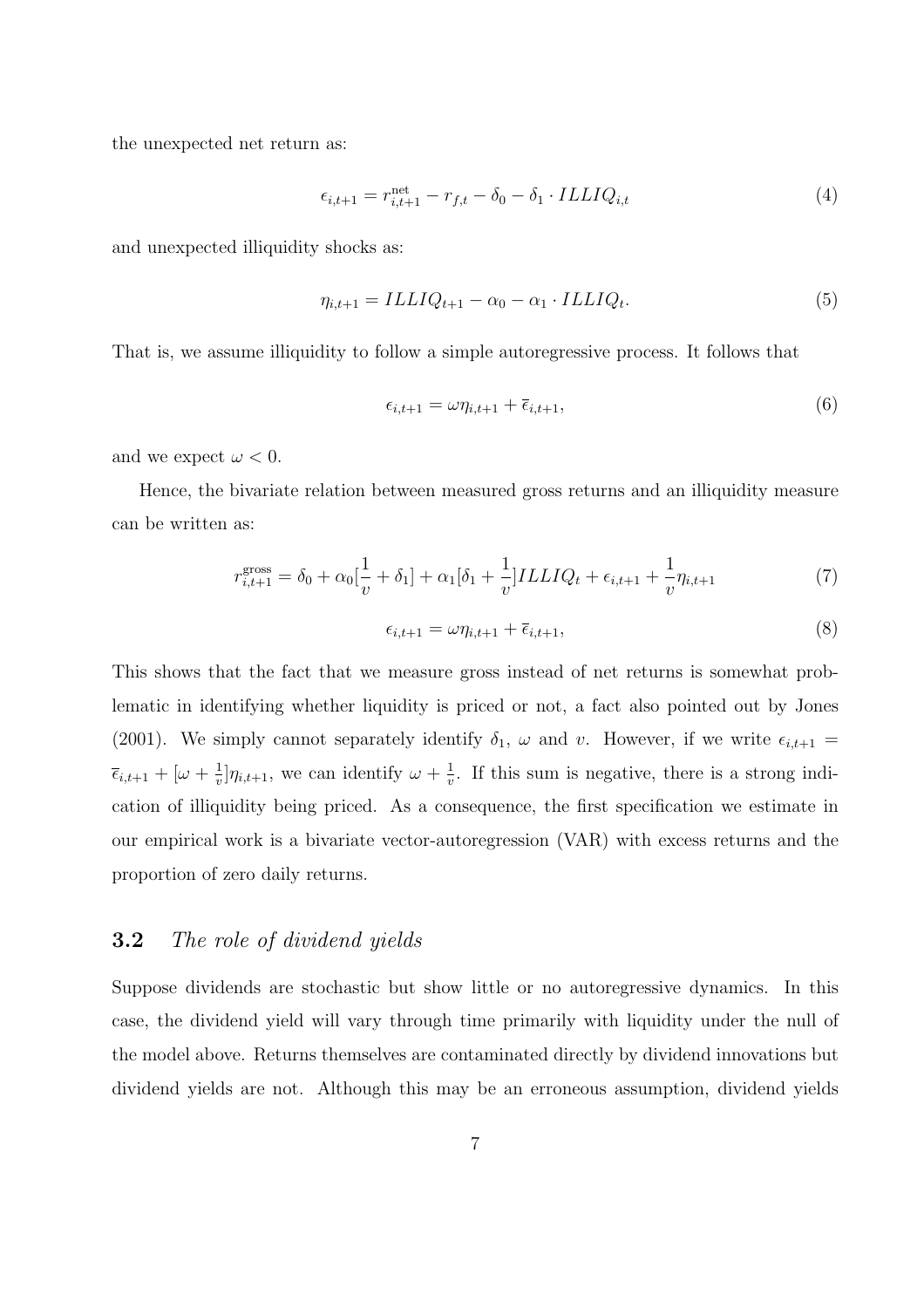the unexpected net return as:

$$
\epsilon_{i,t+1} = r_{i,t+1}^{\text{net}} - r_{f,t} - \delta_0 - \delta_1 \cdot ILLIQ_{i,t} \tag{4}
$$

and unexpected illiquidity shocks as:

$$
\eta_{i,t+1} = ILLIQ_{t+1} - \alpha_0 - \alpha_1 \cdot ILLIQ_t.
$$
\n
$$
(5)
$$

That is, we assume illiquidity to follow a simple autoregressive process. It follows that

$$
\epsilon_{i,t+1} = \omega \eta_{i,t+1} + \overline{\epsilon}_{i,t+1},\tag{6}
$$

and we expect  $\omega < 0$ .

Hence, the bivariate relation between measured gross returns and an illiquidity measure can be written as:

$$
r_{i,t+1}^{\text{gross}} = \delta_0 + \alpha_0 \left[ \frac{1}{v} + \delta_1 \right] + \alpha_1 \left[ \delta_1 + \frac{1}{v} \right] ILLIQ_t + \epsilon_{i,t+1} + \frac{1}{v} \eta_{i,t+1} \tag{7}
$$

$$
\epsilon_{i,t+1} = \omega \eta_{i,t+1} + \overline{\epsilon}_{i,t+1},\tag{8}
$$

This shows that the fact that we measure gross instead of net returns is somewhat problematic in identifying whether liquidity is priced or not, a fact also pointed out by Jones (2001). We simply cannot separately identify  $\delta_1$ ,  $\omega$  and  $v$ . However, if we write  $\epsilon_{i,t+1}$  =  $\overline{\epsilon}_{i,t+1} + [\omega + \frac{1}{v}] \eta_{i,t+1}$ , we can identify  $\omega + \frac{1}{v}$ . If this sum is negative, there is a strong indication of illiquidity being priced. As a consequence, the first specification we estimate in our empirical work is a bivariate vector-autoregression (VAR) with excess returns and the proportion of zero daily returns.

### **3.2** The role of dividend yields

Suppose dividends are stochastic but show little or no autoregressive dynamics. In this case, the dividend yield will vary through time primarily with liquidity under the null of the model above. Returns themselves are contaminated directly by dividend innovations but dividend yields are not. Although this may be an erroneous assumption, dividend yields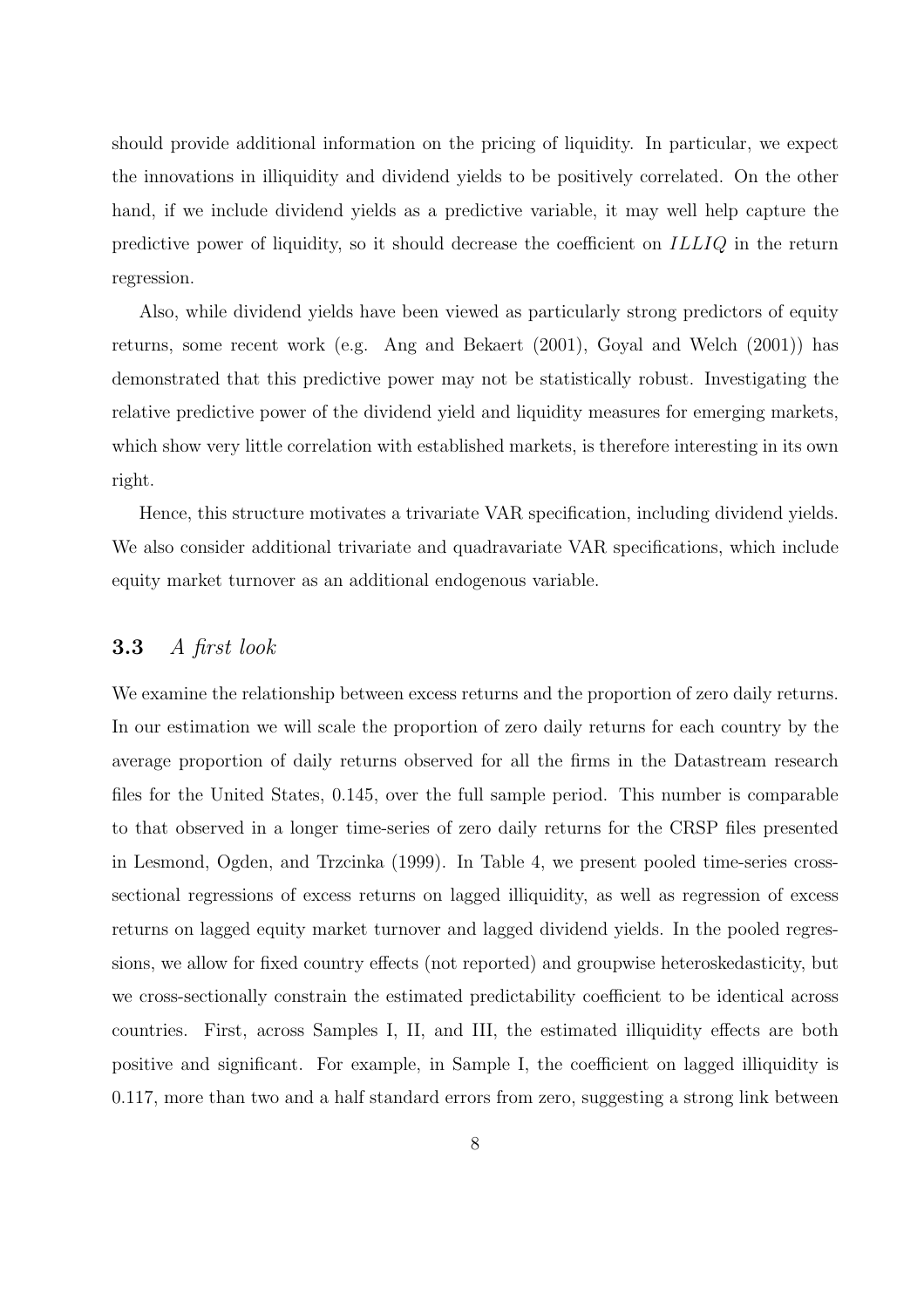should provide additional information on the pricing of liquidity. In particular, we expect the innovations in illiquidity and dividend yields to be positively correlated. On the other hand, if we include dividend yields as a predictive variable, it may well help capture the predictive power of liquidity, so it should decrease the coefficient on ILLIQ in the return regression.

Also, while dividend yields have been viewed as particularly strong predictors of equity returns, some recent work (e.g. Ang and Bekaert (2001), Goyal and Welch (2001)) has demonstrated that this predictive power may not be statistically robust. Investigating the relative predictive power of the dividend yield and liquidity measures for emerging markets, which show very little correlation with established markets, is therefore interesting in its own right.

Hence, this structure motivates a trivariate VAR specification, including dividend yields. We also consider additional trivariate and quadravariate VAR specifications, which include equity market turnover as an additional endogenous variable.

### **3.3** A first look

We examine the relationship between excess returns and the proportion of zero daily returns. In our estimation we will scale the proportion of zero daily returns for each country by the average proportion of daily returns observed for all the firms in the Datastream research files for the United States, 0.145, over the full sample period. This number is comparable to that observed in a longer time-series of zero daily returns for the CRSP files presented in Lesmond, Ogden, and Trzcinka (1999). In Table 4, we present pooled time-series crosssectional regressions of excess returns on lagged illiquidity, as well as regression of excess returns on lagged equity market turnover and lagged dividend yields. In the pooled regressions, we allow for fixed country effects (not reported) and groupwise heteroskedasticity, but we cross-sectionally constrain the estimated predictability coefficient to be identical across countries. First, across Samples I, II, and III, the estimated illiquidity effects are both positive and significant. For example, in Sample I, the coefficient on lagged illiquidity is 0.117, more than two and a half standard errors from zero, suggesting a strong link between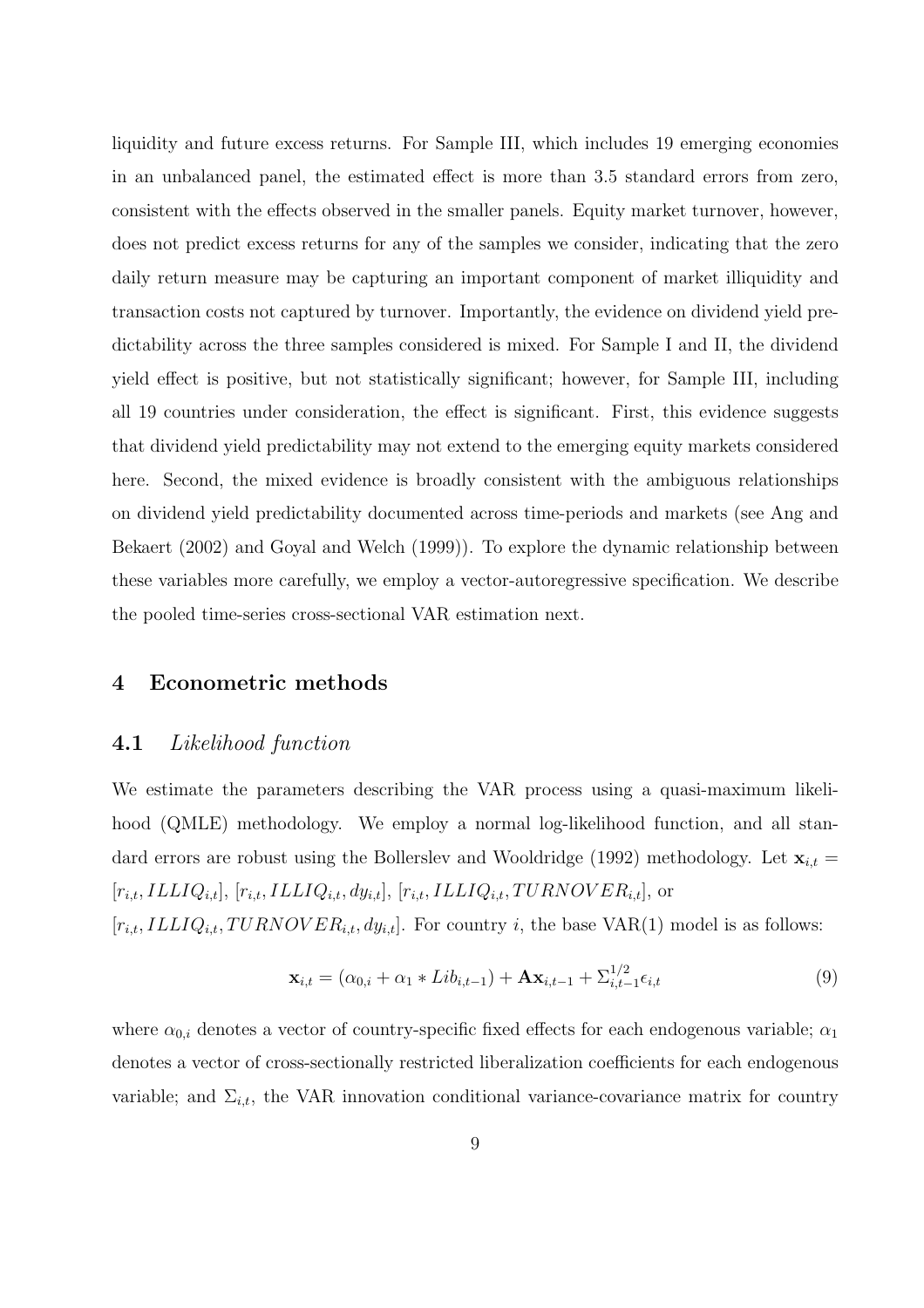liquidity and future excess returns. For Sample III, which includes 19 emerging economies in an unbalanced panel, the estimated effect is more than 3.5 standard errors from zero, consistent with the effects observed in the smaller panels. Equity market turnover, however, does not predict excess returns for any of the samples we consider, indicating that the zero daily return measure may be capturing an important component of market illiquidity and transaction costs not captured by turnover. Importantly, the evidence on dividend yield predictability across the three samples considered is mixed. For Sample I and II, the dividend yield effect is positive, but not statistically significant; however, for Sample III, including all 19 countries under consideration, the effect is significant. First, this evidence suggests that dividend yield predictability may not extend to the emerging equity markets considered here. Second, the mixed evidence is broadly consistent with the ambiguous relationships on dividend yield predictability documented across time-periods and markets (see Ang and Bekaert (2002) and Goyal and Welch (1999)). To explore the dynamic relationship between these variables more carefully, we employ a vector-autoregressive specification. We describe the pooled time-series cross-sectional VAR estimation next.

### **4 Econometric methods**

### **4.1** Likelihood function

We estimate the parameters describing the VAR process using a quasi-maximum likelihood (QMLE) methodology. We employ a normal log-likelihood function, and all standard errors are robust using the Bollerslev and Wooldridge (1992) methodology. Let  $\mathbf{x}_{i,t} =$  $[r_{i,t},ILLIQ_{i,t}], [r_{i,t},ILLIQ_{i,t}, dy_{i,t}], [r_{i,t},ILLIQ_{i,t}, TURNOVER_{i,t}],$  or  $[r_{i,t}, ILLIQ_{i,t}, TURNOVER_{i,t}, dy_{i,t}]$ . For country i, the base VAR(1) model is as foll

$$
u_{i,t}
$$
,  $ILLIQ_{i,t}$ ,  $TURNOVER_{i,t}$ ,  $dy_{i,t}$ . For country *i*, the base VAR(1) model is as follows:

$$
\mathbf{x}_{i,t} = (\alpha_{0,i} + \alpha_1 * Lib_{i,t-1}) + \mathbf{A}\mathbf{x}_{i,t-1} + \sum_{i,t-1}^{1/2} \epsilon_{i,t}
$$
(9)

where  $\alpha_{0,i}$  denotes a vector of country-specific fixed effects for each endogenous variable;  $\alpha_1$ denotes a vector of cross-sectionally restricted liberalization coefficients for each endogenous variable; and  $\Sigma_{i,t}$ , the VAR innovation conditional variance-covariance matrix for country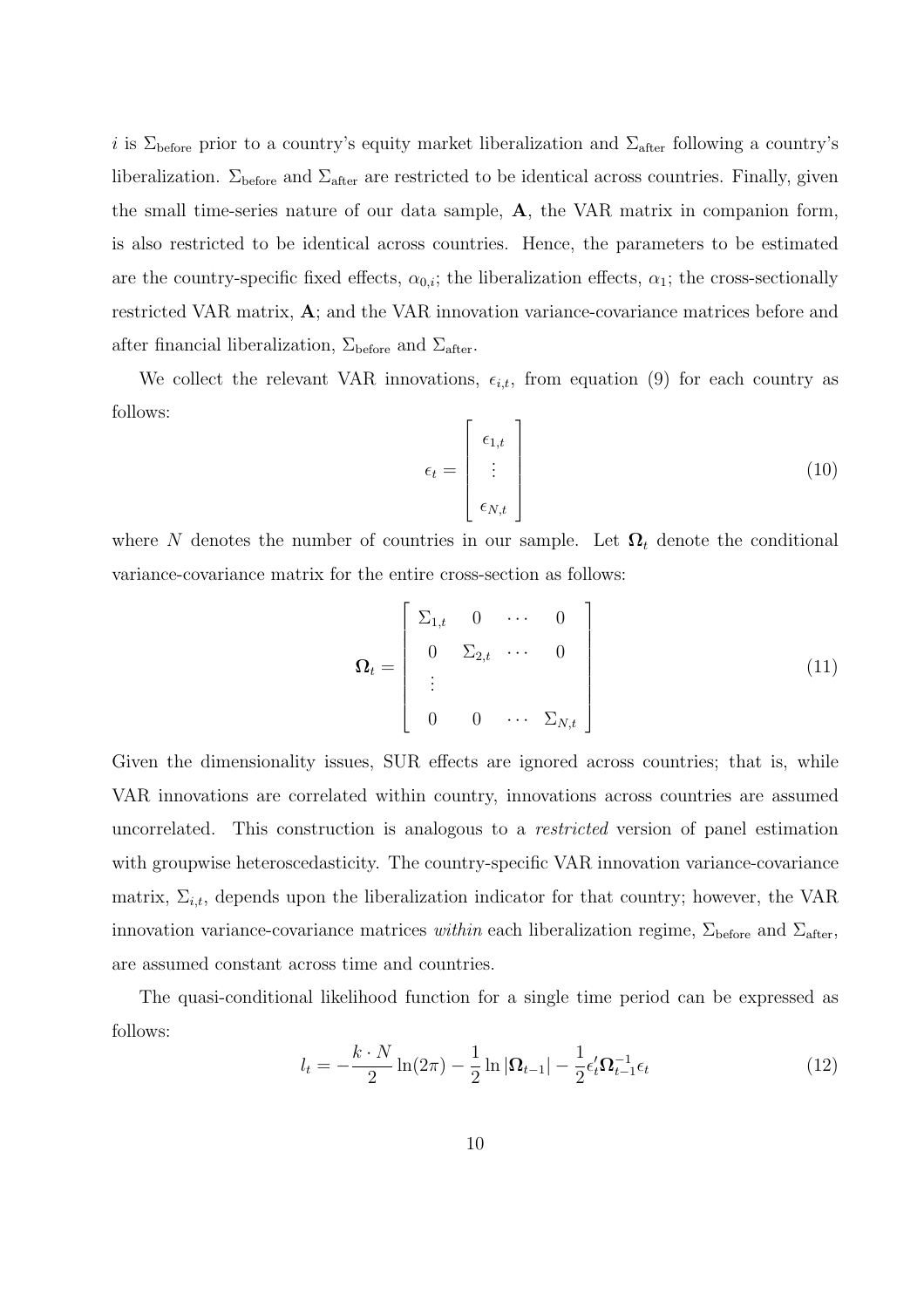i is  $\Sigma_{\text{before}}$  prior to a country's equity market liberalization and  $\Sigma_{\text{after}}$  following a country's liberalization.  $\Sigma_{\text{before}}$  and  $\Sigma_{\text{after}}$  are restricted to be identical across countries. Finally, given the small time-series nature of our data sample, **A**, the VAR matrix in companion form, is also restricted to be identical across countries. Hence, the parameters to be estimated are the country-specific fixed effects,  $\alpha_{0,i}$ ; the liberalization effects,  $\alpha_1$ ; the cross-sectionally restricted VAR matrix, **A**; and the VAR innovation variance-covariance matrices before and after financial liberalization,  $\Sigma_{\text{before}}$  and  $\Sigma_{\text{after}}$ .

We collect the relevant VAR innovations,  $\epsilon_{i,t}$ , from equation (9) for each country as follows:

$$
\epsilon_t = \begin{bmatrix} \epsilon_{1,t} \\ \vdots \\ \epsilon_{N,t} \end{bmatrix} \tag{10}
$$

where N denotes the number of countries in our sample. Let  $\Omega_t$  denote the conditional variance-covariance matrix for the entire cross-section as follows:

$$
\Omega_t = \begin{bmatrix} \Sigma_{1,t} & 0 & \cdots & 0 \\ 0 & \Sigma_{2,t} & \cdots & 0 \\ \vdots & & & \\ 0 & 0 & \cdots & \Sigma_{N,t} \end{bmatrix} \tag{11}
$$

Given the dimensionality issues, SUR effects are ignored across countries; that is, while VAR innovations are correlated within country, innovations across countries are assumed uncorrelated. This construction is analogous to a restricted version of panel estimation with groupwise heteroscedasticity. The country-specific VAR innovation variance-covariance matrix,  $\Sigma_{i,t}$ , depends upon the liberalization indicator for that country; however, the VAR innovation variance-covariance matrices within each liberalization regime,  $\Sigma_{before}$  and  $\Sigma_{after}$ , are assumed constant across time and countries.

The quasi-conditional likelihood function for a single time period can be expressed as follows:

$$
l_t = -\frac{k \cdot N}{2} \ln(2\pi) - \frac{1}{2} \ln |\Omega_{t-1}| - \frac{1}{2} \epsilon_t' \Omega_{t-1}^{-1} \epsilon_t
$$
 (12)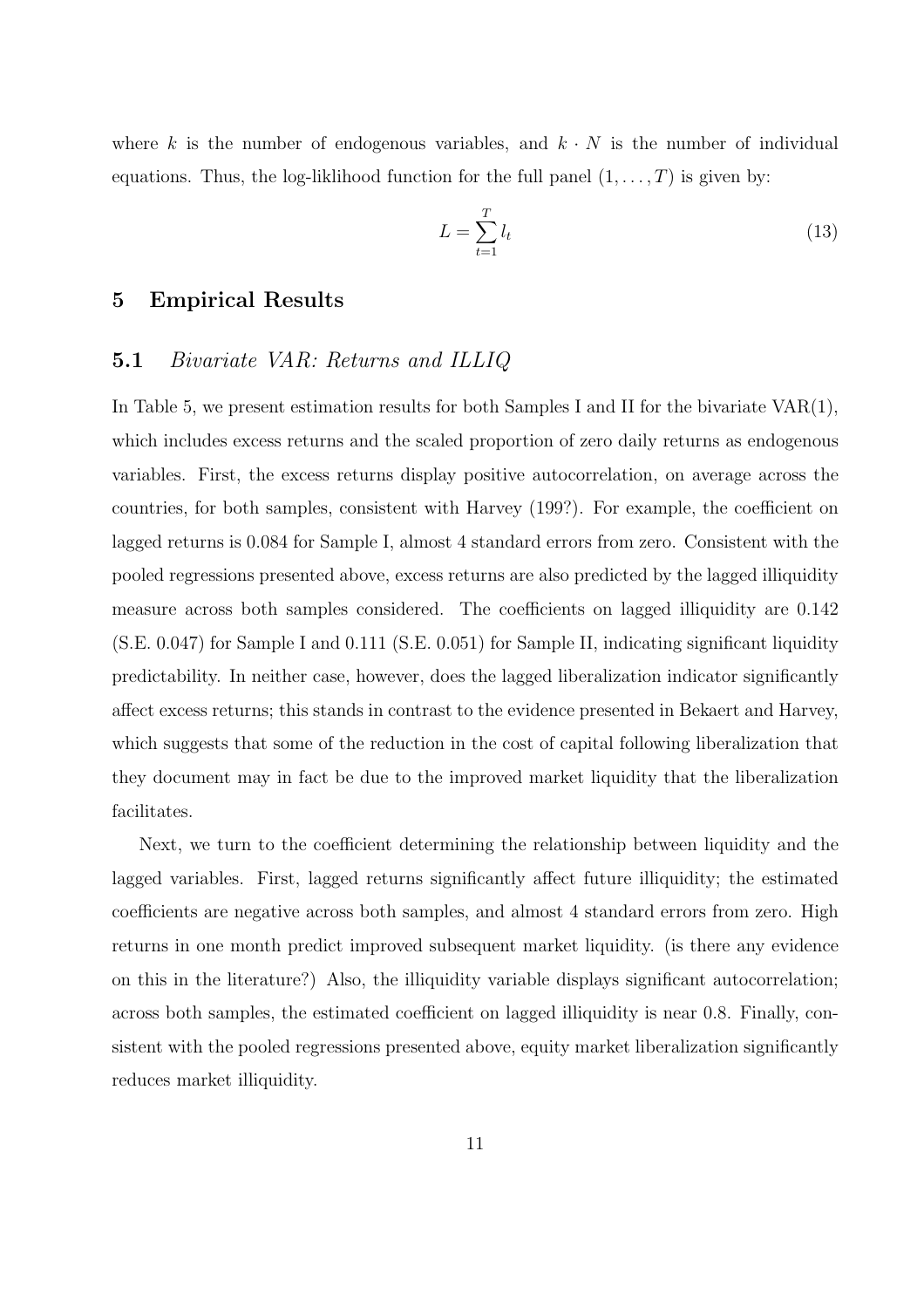where k is the number of endogenous variables, and  $k \cdot N$  is the number of individual equations. Thus, the log-liklihood function for the full panel  $(1,\ldots,T)$  is given by:

$$
L = \sum_{t=1}^{T} l_t \tag{13}
$$

### **5 Empirical Results**

### **5.1** Bivariate VAR: Returns and ILLIQ

In Table 5, we present estimation results for both Samples I and II for the bivariate  $VAR(1)$ , which includes excess returns and the scaled proportion of zero daily returns as endogenous variables. First, the excess returns display positive autocorrelation, on average across the countries, for both samples, consistent with Harvey (199?). For example, the coefficient on lagged returns is 0.084 for Sample I, almost 4 standard errors from zero. Consistent with the pooled regressions presented above, excess returns are also predicted by the lagged illiquidity measure across both samples considered. The coefficients on lagged illiquidity are 0.142 (S.E. 0.047) for Sample I and 0.111 (S.E. 0.051) for Sample II, indicating significant liquidity predictability. In neither case, however, does the lagged liberalization indicator significantly affect excess returns; this stands in contrast to the evidence presented in Bekaert and Harvey, which suggests that some of the reduction in the cost of capital following liberalization that they document may in fact be due to the improved market liquidity that the liberalization facilitates.

Next, we turn to the coefficient determining the relationship between liquidity and the lagged variables. First, lagged returns significantly affect future illiquidity; the estimated coefficients are negative across both samples, and almost 4 standard errors from zero. High returns in one month predict improved subsequent market liquidity. (is there any evidence on this in the literature?) Also, the illiquidity variable displays significant autocorrelation; across both samples, the estimated coefficient on lagged illiquidity is near 0.8. Finally, consistent with the pooled regressions presented above, equity market liberalization significantly reduces market illiquidity.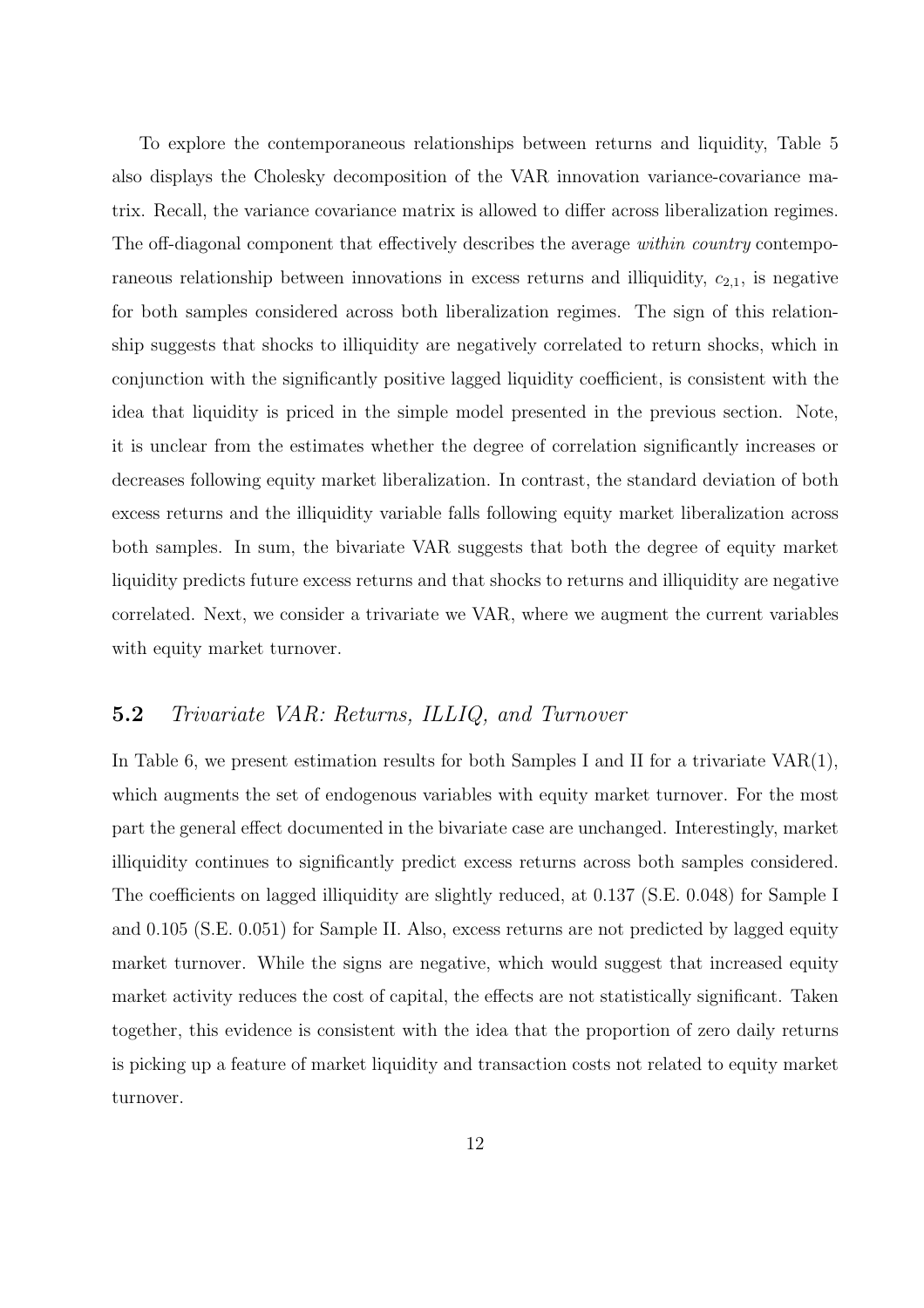To explore the contemporaneous relationships between returns and liquidity, Table 5 also displays the Cholesky decomposition of the VAR innovation variance-covariance matrix. Recall, the variance covariance matrix is allowed to differ across liberalization regimes. The off-diagonal component that effectively describes the average within country contemporaneous relationship between innovations in excess returns and illiquidity,  $c_{2,1}$ , is negative for both samples considered across both liberalization regimes. The sign of this relationship suggests that shocks to illiquidity are negatively correlated to return shocks, which in conjunction with the significantly positive lagged liquidity coefficient, is consistent with the idea that liquidity is priced in the simple model presented in the previous section. Note, it is unclear from the estimates whether the degree of correlation significantly increases or decreases following equity market liberalization. In contrast, the standard deviation of both excess returns and the illiquidity variable falls following equity market liberalization across both samples. In sum, the bivariate VAR suggests that both the degree of equity market liquidity predicts future excess returns and that shocks to returns and illiquidity are negative correlated. Next, we consider a trivariate we VAR, where we augment the current variables with equity market turnover.

### **5.2** Trivariate VAR: Returns, ILLIQ, and Turnover

In Table 6, we present estimation results for both Samples I and II for a trivariate  $VAR(1)$ , which augments the set of endogenous variables with equity market turnover. For the most part the general effect documented in the bivariate case are unchanged. Interestingly, market illiquidity continues to significantly predict excess returns across both samples considered. The coefficients on lagged illiquidity are slightly reduced, at 0.137 (S.E. 0.048) for Sample I and 0.105 (S.E. 0.051) for Sample II. Also, excess returns are not predicted by lagged equity market turnover. While the signs are negative, which would suggest that increased equity market activity reduces the cost of capital, the effects are not statistically significant. Taken together, this evidence is consistent with the idea that the proportion of zero daily returns is picking up a feature of market liquidity and transaction costs not related to equity market turnover.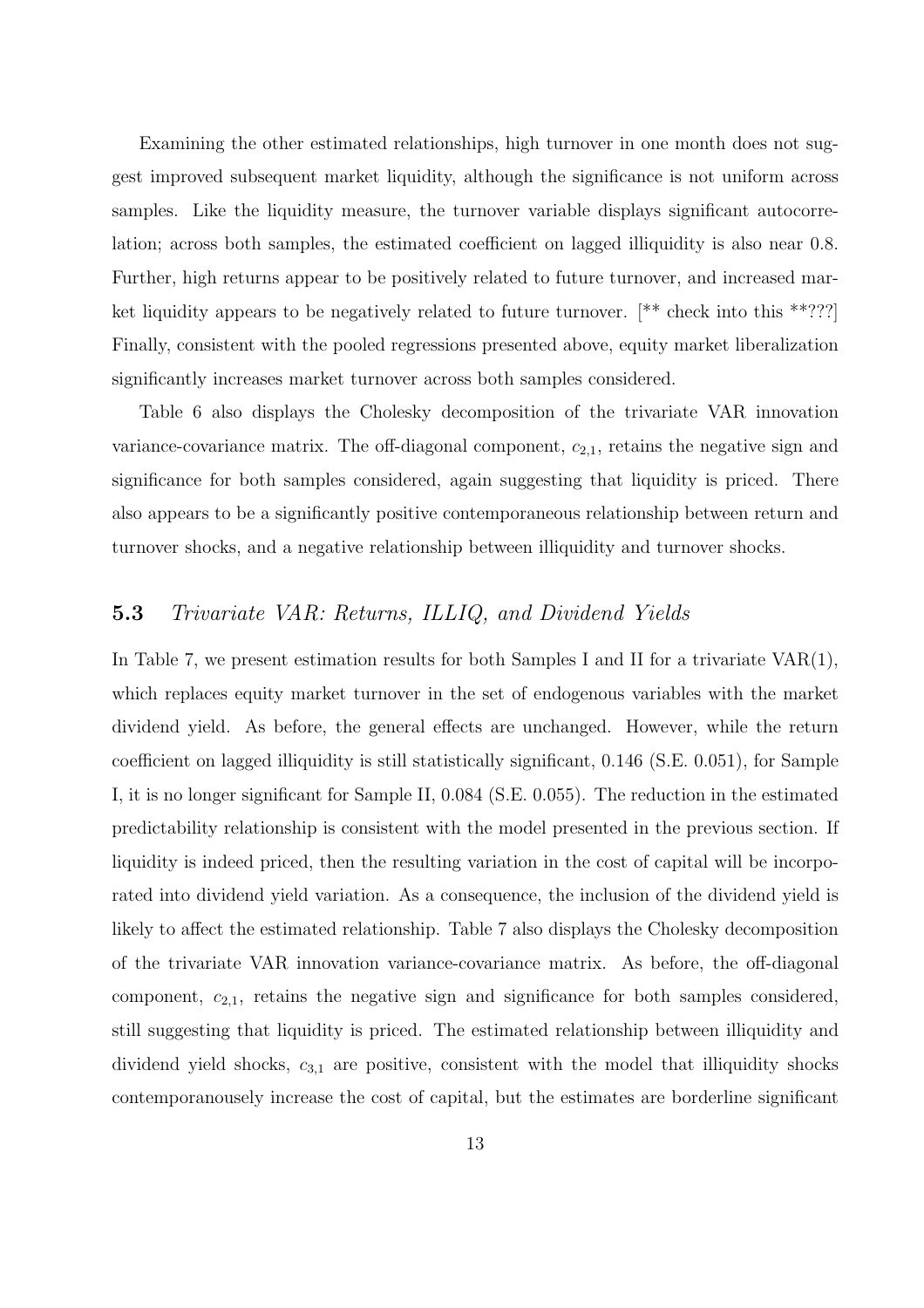Examining the other estimated relationships, high turnover in one month does not suggest improved subsequent market liquidity, although the significance is not uniform across samples. Like the liquidity measure, the turnover variable displays significant autocorrelation; across both samples, the estimated coefficient on lagged illiquidity is also near 0.8. Further, high returns appear to be positively related to future turnover, and increased market liquidity appears to be negatively related to future turnover. [\*\* check into this \*\*???] Finally, consistent with the pooled regressions presented above, equity market liberalization significantly increases market turnover across both samples considered.

Table 6 also displays the Cholesky decomposition of the trivariate VAR innovation variance-covariance matrix. The off-diagonal component,  $c_{2,1}$ , retains the negative sign and significance for both samples considered, again suggesting that liquidity is priced. There also appears to be a significantly positive contemporaneous relationship between return and turnover shocks, and a negative relationship between illiquidity and turnover shocks.

### **5.3** Trivariate VAR: Returns, ILLIQ, and Dividend Yields

In Table 7, we present estimation results for both Samples I and II for a trivariate  $VAR(1)$ , which replaces equity market turnover in the set of endogenous variables with the market dividend yield. As before, the general effects are unchanged. However, while the return coefficient on lagged illiquidity is still statistically significant, 0.146 (S.E. 0.051), for Sample I, it is no longer significant for Sample II, 0.084 (S.E. 0.055). The reduction in the estimated predictability relationship is consistent with the model presented in the previous section. If liquidity is indeed priced, then the resulting variation in the cost of capital will be incorporated into dividend yield variation. As a consequence, the inclusion of the dividend yield is likely to affect the estimated relationship. Table 7 also displays the Cholesky decomposition of the trivariate VAR innovation variance-covariance matrix. As before, the off-diagonal component,  $c_{2,1}$ , retains the negative sign and significance for both samples considered, still suggesting that liquidity is priced. The estimated relationship between illiquidity and dividend yield shocks,  $c_{3,1}$  are positive, consistent with the model that illiquidity shocks contemporanousely increase the cost of capital, but the estimates are borderline significant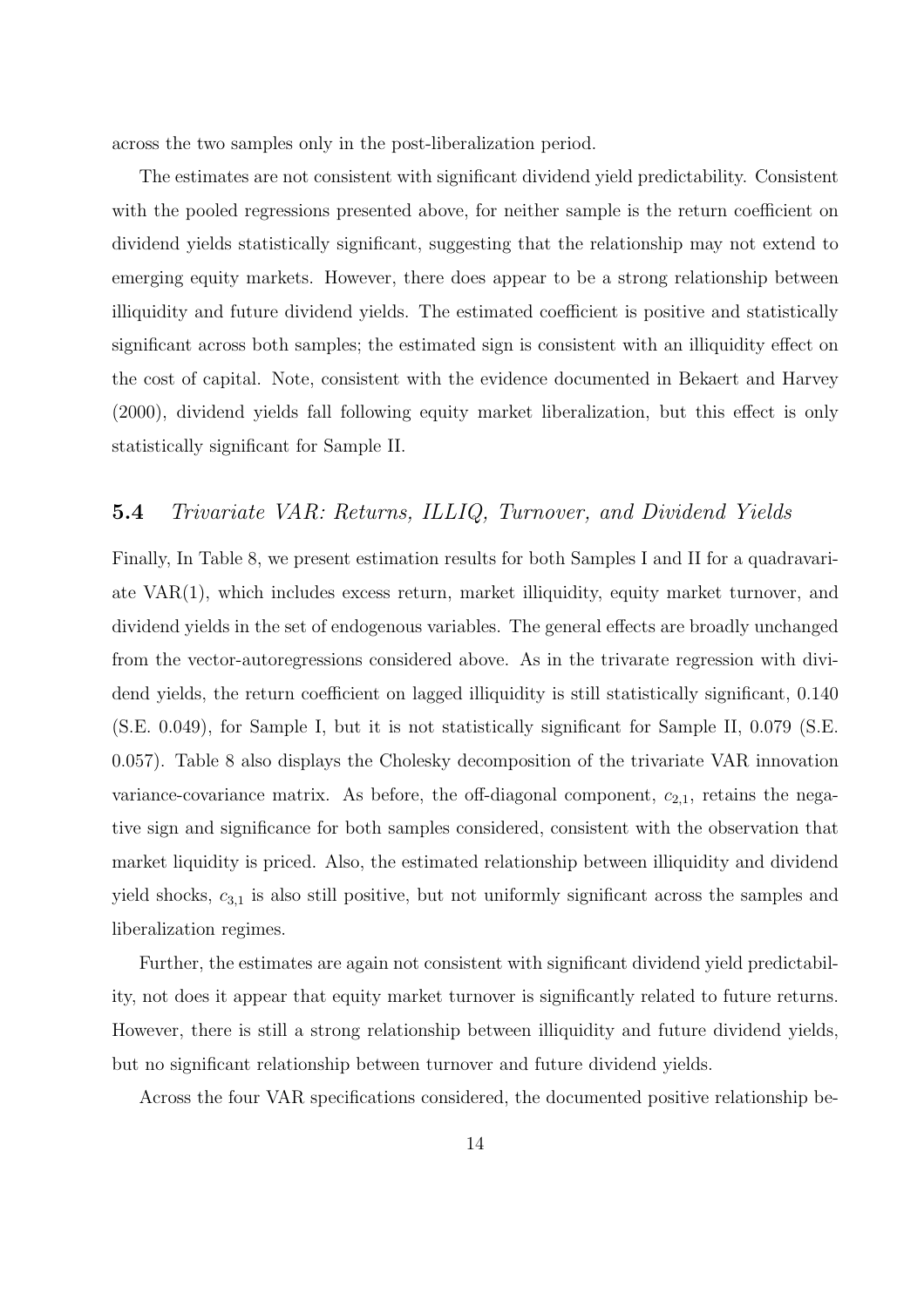across the two samples only in the post-liberalization period.

The estimates are not consistent with significant dividend yield predictability. Consistent with the pooled regressions presented above, for neither sample is the return coefficient on dividend yields statistically significant, suggesting that the relationship may not extend to emerging equity markets. However, there does appear to be a strong relationship between illiquidity and future dividend yields. The estimated coefficient is positive and statistically significant across both samples; the estimated sign is consistent with an illiquidity effect on the cost of capital. Note, consistent with the evidence documented in Bekaert and Harvey (2000), dividend yields fall following equity market liberalization, but this effect is only statistically significant for Sample II.

## **5.4** Trivariate VAR: Returns, ILLIQ, Turnover, and Dividend Yields

Finally, In Table 8, we present estimation results for both Samples I and II for a quadravariate VAR(1), which includes excess return, market illiquidity, equity market turnover, and dividend yields in the set of endogenous variables. The general effects are broadly unchanged from the vector-autoregressions considered above. As in the trivarate regression with dividend yields, the return coefficient on lagged illiquidity is still statistically significant, 0.140 (S.E. 0.049), for Sample I, but it is not statistically significant for Sample II, 0.079 (S.E. 0.057). Table 8 also displays the Cholesky decomposition of the trivariate VAR innovation variance-covariance matrix. As before, the off-diagonal component,  $c_{2,1}$ , retains the negative sign and significance for both samples considered, consistent with the observation that market liquidity is priced. Also, the estimated relationship between illiquidity and dividend yield shocks,  $c_{3,1}$  is also still positive, but not uniformly significant across the samples and liberalization regimes.

Further, the estimates are again not consistent with significant dividend yield predictability, not does it appear that equity market turnover is significantly related to future returns. However, there is still a strong relationship between illiquidity and future dividend yields, but no significant relationship between turnover and future dividend yields.

Across the four VAR specifications considered, the documented positive relationship be-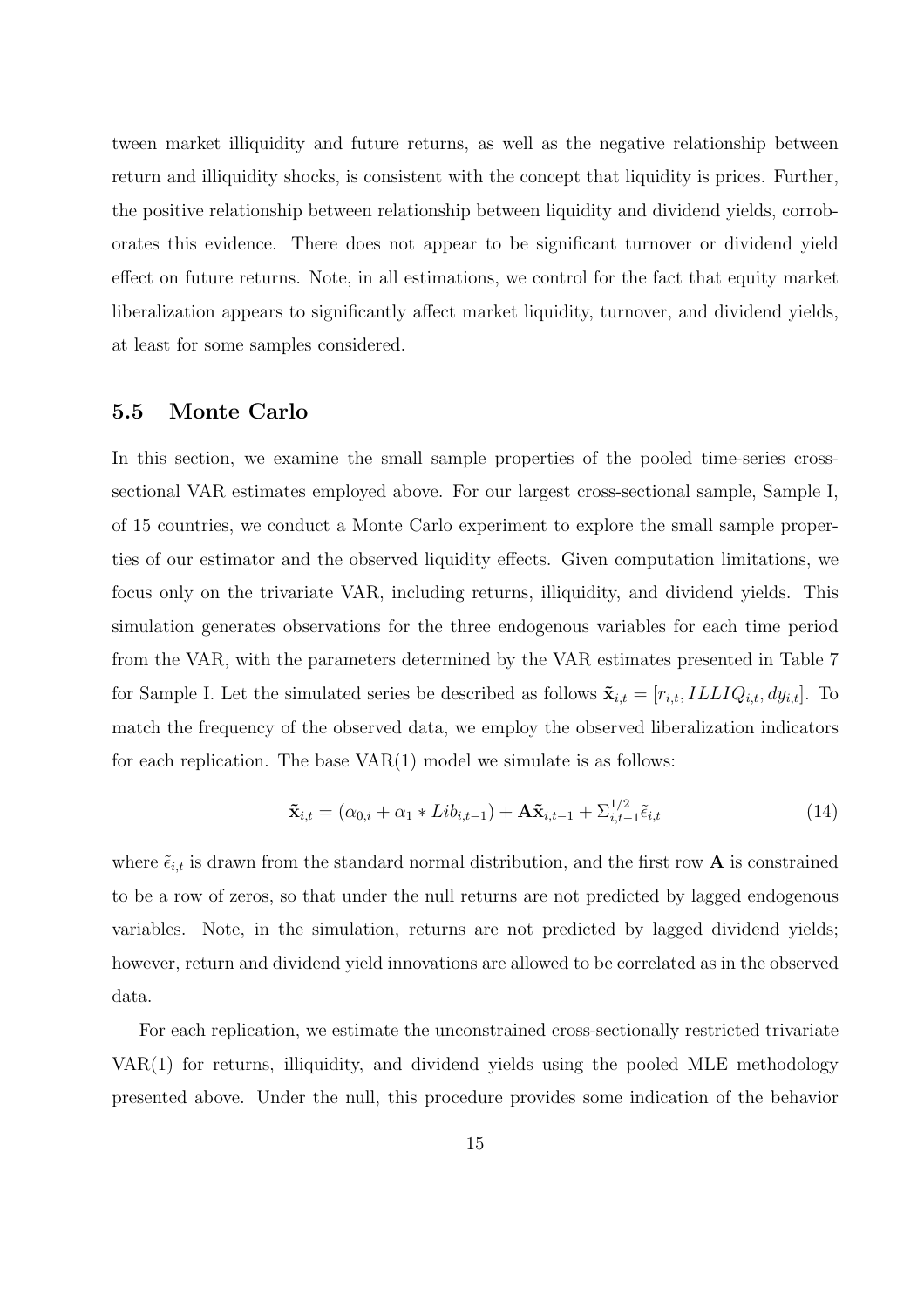tween market illiquidity and future returns, as well as the negative relationship between return and illiquidity shocks, is consistent with the concept that liquidity is prices. Further, the positive relationship between relationship between liquidity and dividend yields, corroborates this evidence. There does not appear to be significant turnover or dividend yield effect on future returns. Note, in all estimations, we control for the fact that equity market liberalization appears to significantly affect market liquidity, turnover, and dividend yields, at least for some samples considered.

### **5.5 Monte Carlo**

In this section, we examine the small sample properties of the pooled time-series crosssectional VAR estimates employed above. For our largest cross-sectional sample, Sample I, of 15 countries, we conduct a Monte Carlo experiment to explore the small sample properties of our estimator and the observed liquidity effects. Given computation limitations, we focus only on the trivariate VAR, including returns, illiquidity, and dividend yields. This simulation generates observations for the three endogenous variables for each time period from the VAR, with the parameters determined by the VAR estimates presented in Table 7 for Sample I. Let the simulated series be described as follows  $\tilde{\mathbf{x}}_{i,t} = [r_{i,t}, ILLIQ_{i,t}, dy_{i,t}]$ . To match the frequency of the observed data, we employ the observed liberalization indicators for each replication. The base  $VAR(1)$  model we simulate is as follows:

$$
\tilde{\mathbf{x}}_{i,t} = (\alpha_{0,i} + \alpha_1 * Lib_{i,t-1}) + \mathbf{A}\tilde{\mathbf{x}}_{i,t-1} + \sum_{i,t-1}^{1/2} \tilde{\epsilon}_{i,t}
$$
\n(14)

where  $\tilde{\epsilon}_{i,t}$  is drawn from the standard normal distribution, and the first row **A** is constrained to be a row of zeros, so that under the null returns are not predicted by lagged endogenous variables. Note, in the simulation, returns are not predicted by lagged dividend yields; however, return and dividend yield innovations are allowed to be correlated as in the observed data.

For each replication, we estimate the unconstrained cross-sectionally restricted trivariate VAR(1) for returns, illiquidity, and dividend yields using the pooled MLE methodology presented above. Under the null, this procedure provides some indication of the behavior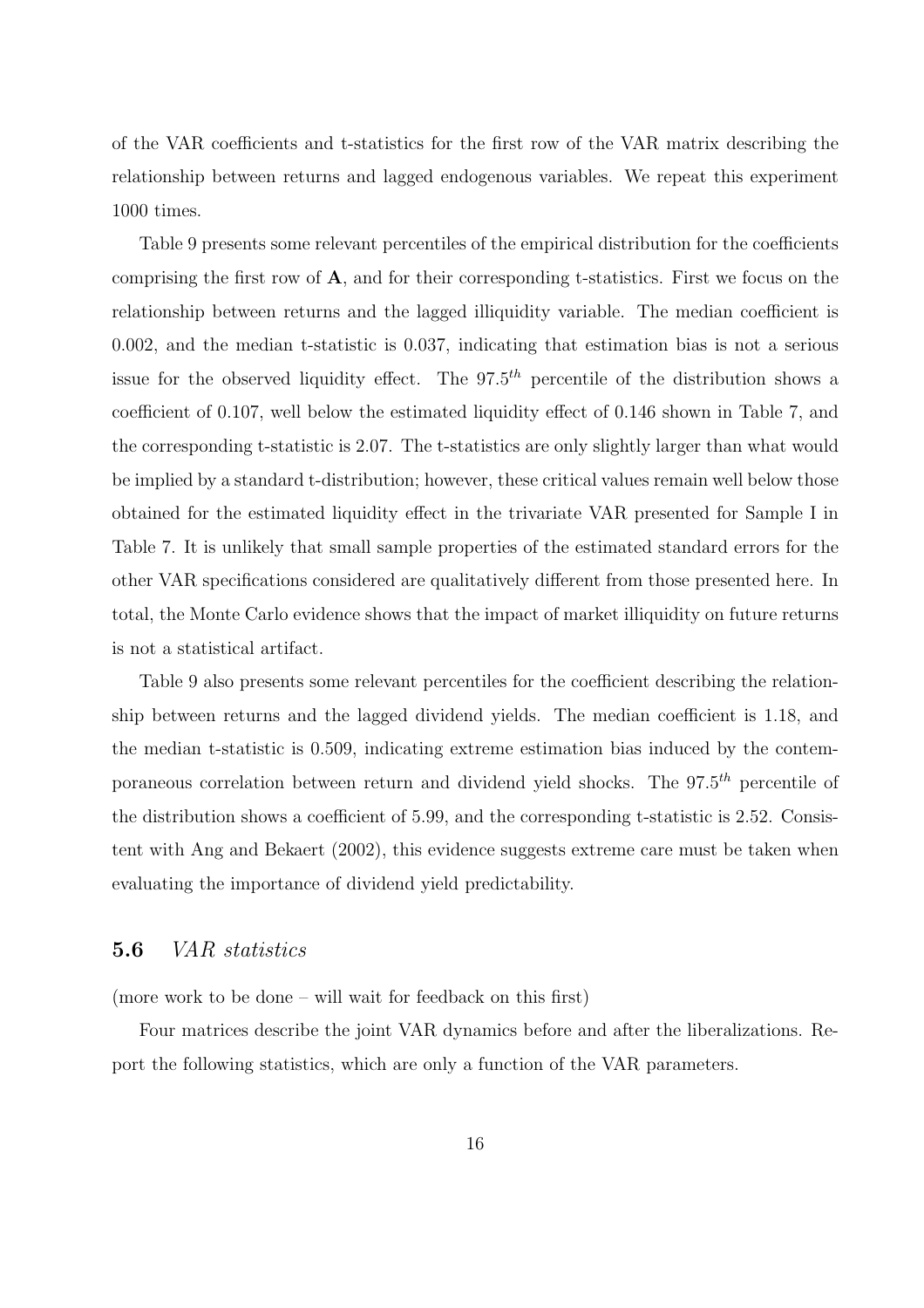of the VAR coefficients and t-statistics for the first row of the VAR matrix describing the relationship between returns and lagged endogenous variables. We repeat this experiment 1000 times.

Table 9 presents some relevant percentiles of the empirical distribution for the coefficients comprising the first row of **A**, and for their corresponding t-statistics. First we focus on the relationship between returns and the lagged illiquidity variable. The median coefficient is 0.002, and the median t-statistic is 0.037, indicating that estimation bias is not a serious issue for the observed liquidity effect. The  $97.5<sup>th</sup>$  percentile of the distribution shows a coefficient of 0.107, well below the estimated liquidity effect of 0.146 shown in Table 7, and the corresponding t-statistic is 2.07. The t-statistics are only slightly larger than what would be implied by a standard t-distribution; however, these critical values remain well below those obtained for the estimated liquidity effect in the trivariate VAR presented for Sample I in Table 7. It is unlikely that small sample properties of the estimated standard errors for the other VAR specifications considered are qualitatively different from those presented here. In total, the Monte Carlo evidence shows that the impact of market illiquidity on future returns is not a statistical artifact.

Table 9 also presents some relevant percentiles for the coefficient describing the relationship between returns and the lagged dividend yields. The median coefficient is 1.18, and the median t-statistic is 0.509, indicating extreme estimation bias induced by the contemporaneous correlation between return and dividend yield shocks. The  $97.5<sup>th</sup>$  percentile of the distribution shows a coefficient of 5.99, and the corresponding t-statistic is 2.52. Consistent with Ang and Bekaert (2002), this evidence suggests extreme care must be taken when evaluating the importance of dividend yield predictability.

#### **5.6** VAR statistics

(more work to be done – will wait for feedback on this first)

Four matrices describe the joint VAR dynamics before and after the liberalizations. Report the following statistics, which are only a function of the VAR parameters.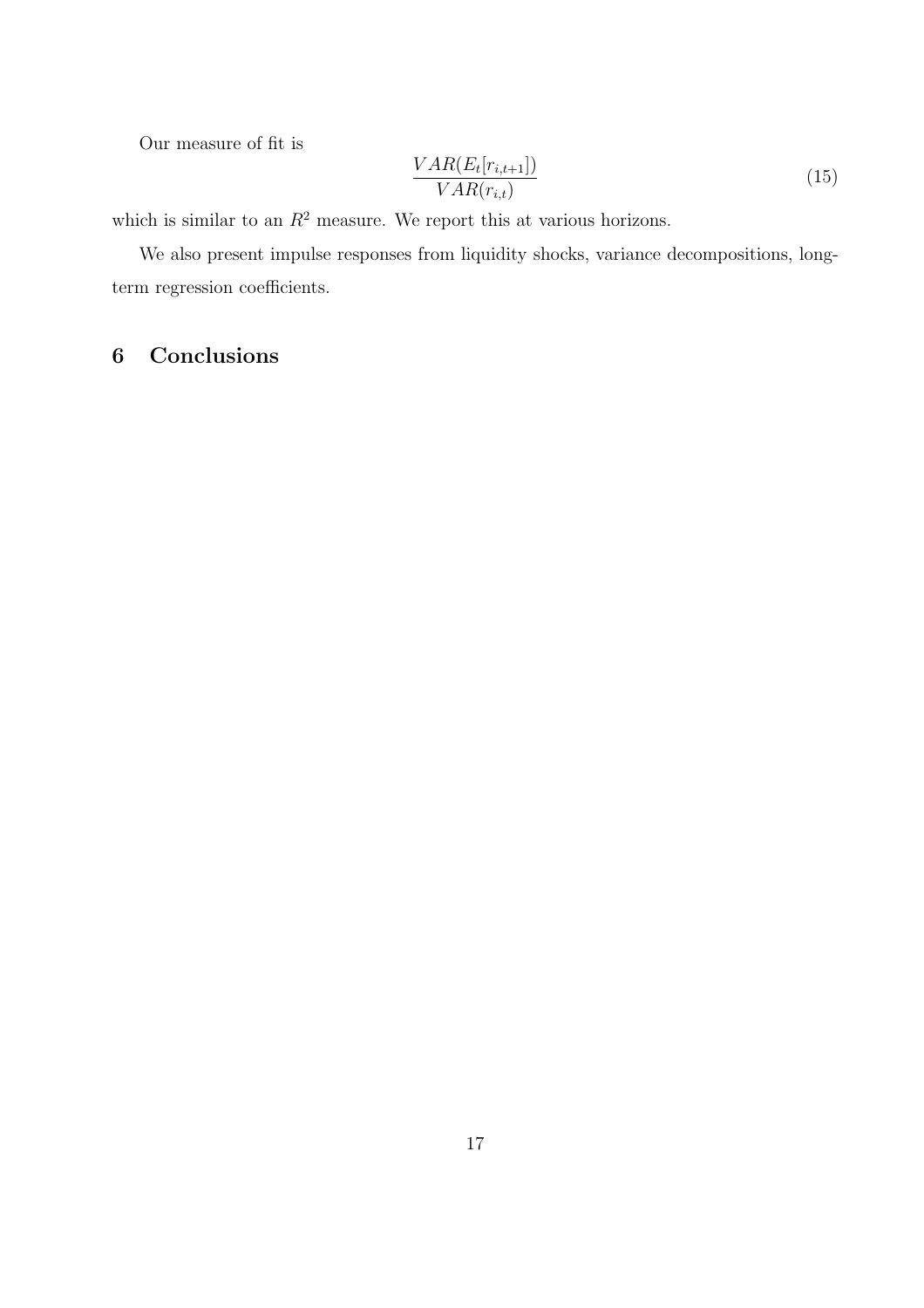Our measure of fit is

$$
\frac{VAR(E_t[r_{i,t+1}])}{VAR(r_{i,t})}
$$
\n(15)

which is similar to an  $R^2$  measure. We report this at various horizons.

We also present impulse responses from liquidity shocks, variance decompositions, longterm regression coefficients.

## **6 Conclusions**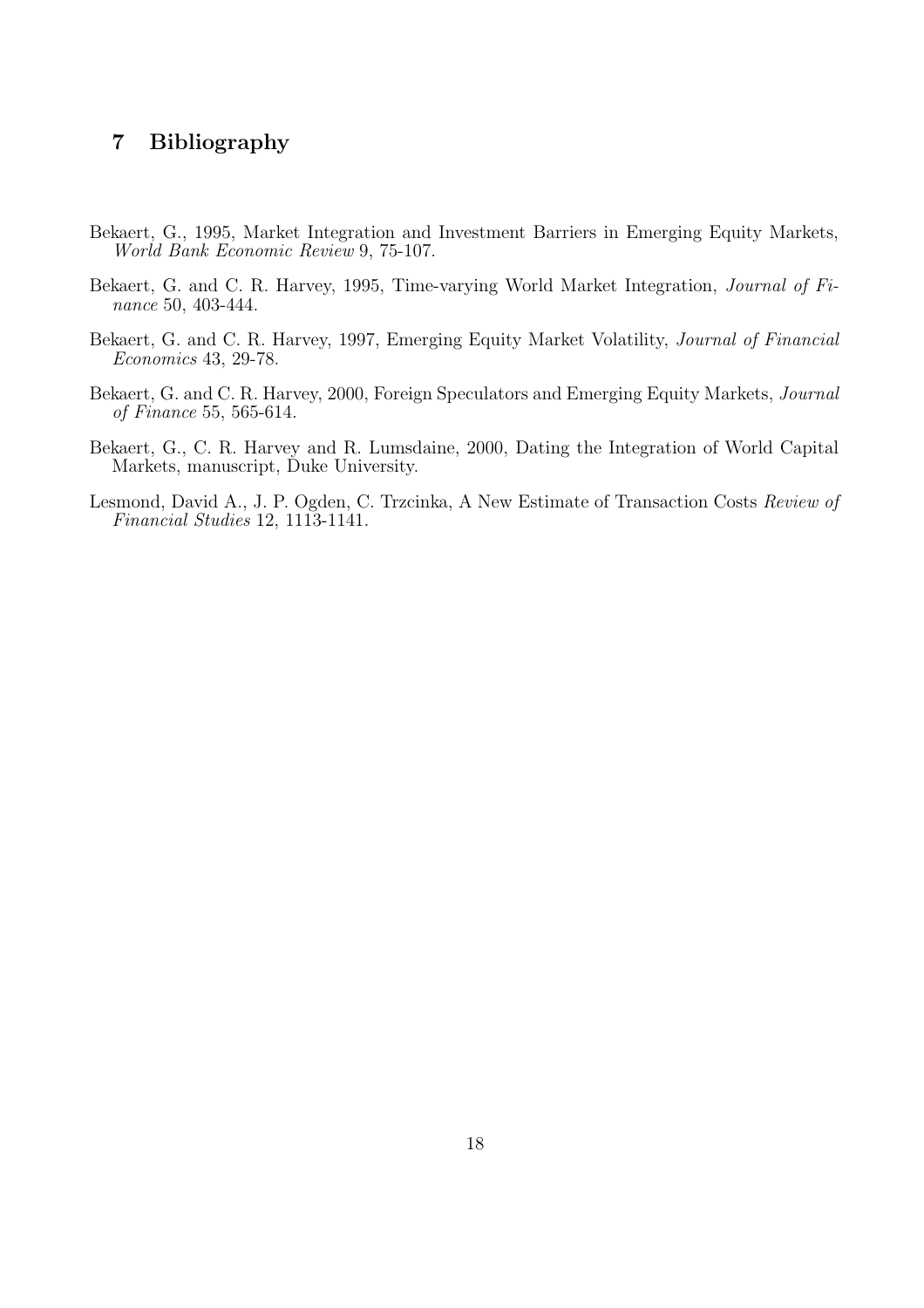## **7 Bibliography**

- Bekaert, G., 1995, Market Integration and Investment Barriers in Emerging Equity Markets, World Bank Economic Review 9, 75-107.
- Bekaert, G. and C. R. Harvey, 1995, Time-varying World Market Integration, Journal of Finance 50, 403-444.
- Bekaert, G. and C. R. Harvey, 1997, Emerging Equity Market Volatility, Journal of Financial Economics 43, 29-78.
- Bekaert, G. and C. R. Harvey, 2000, Foreign Speculators and Emerging Equity Markets, Journal of Finance 55, 565-614.
- Bekaert, G., C. R. Harvey and R. Lumsdaine, 2000, Dating the Integration of World Capital Markets, manuscript, Duke University.
- Lesmond, David A., J. P. Ogden, C. Trzcinka, A New Estimate of Transaction Costs Review of Financial Studies 12, 1113-1141.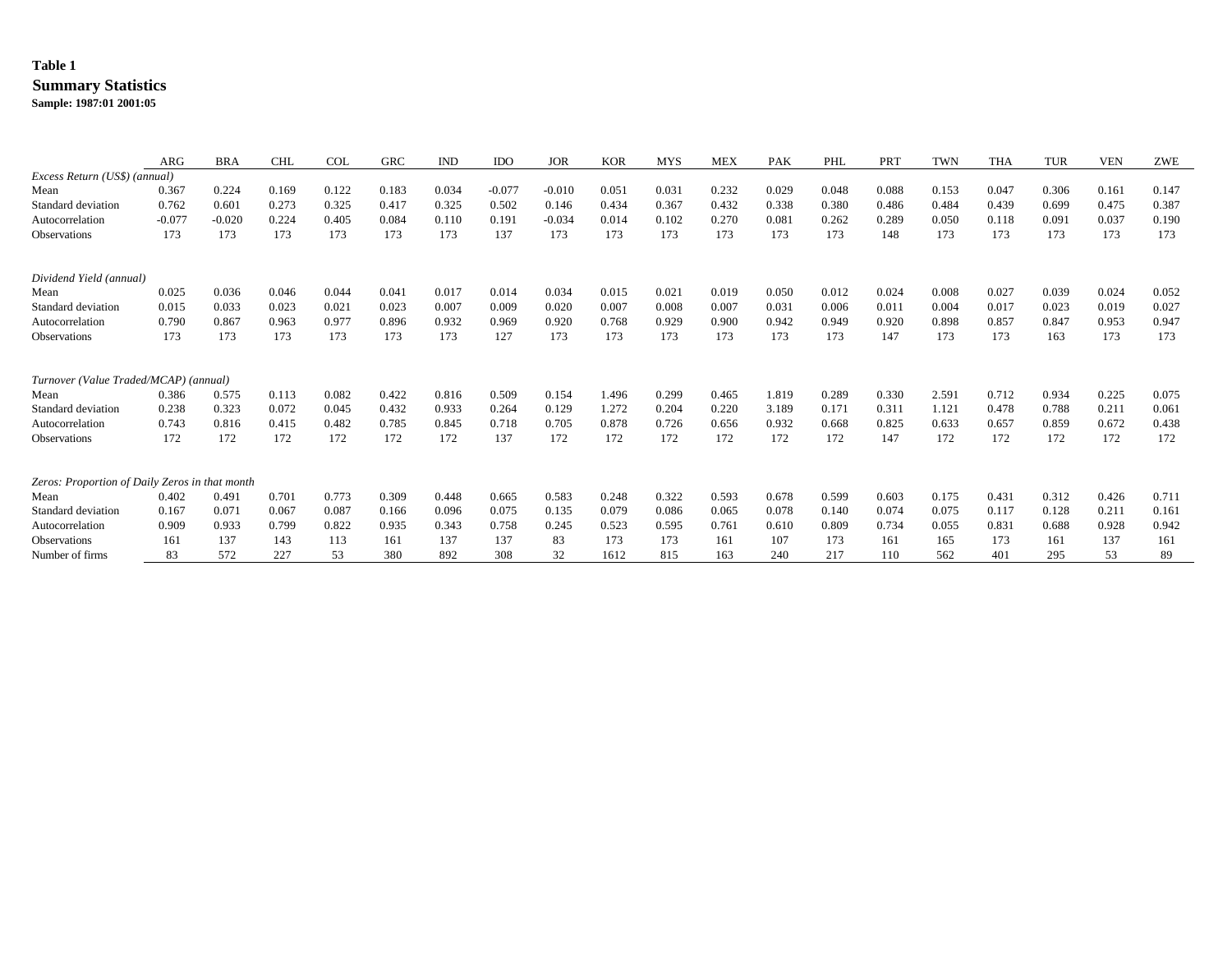## **Table 1**

#### **Summary Statistics**

**Sample: 1987:01 2001:05**

|                                                | ARG      | <b>BRA</b> | <b>CHL</b> | <b>COL</b> | GRC   | <b>IND</b> | <b>IDO</b> | <b>JOR</b> | <b>KOR</b> | <b>MYS</b> | <b>MEX</b> | PAK   | PHL   | PRT   | <b>TWN</b> | <b>THA</b> | <b>TUR</b> | VEN   | ZWE   |
|------------------------------------------------|----------|------------|------------|------------|-------|------------|------------|------------|------------|------------|------------|-------|-------|-------|------------|------------|------------|-------|-------|
| Excess Return (US\$) (annual)                  |          |            |            |            |       |            |            |            |            |            |            |       |       |       |            |            |            |       |       |
| Mean                                           | 0.367    | 0.224      | 0.169      | 0.122      | 0.183 | 0.034      | $-0.077$   | $-0.010$   | 0.051      | 0.031      | 0.232      | 0.029 | 0.048 | 0.088 | 0.153      | 0.047      | 0.306      | 0.161 | 0.147 |
| Standard deviation                             | 0.762    | 0.601      | 0.273      | 0.325      | 0.417 | 0.325      | 0.502      | 0.146      | 0.434      | 0.367      | 0.432      | 0.338 | 0.380 | 0.486 | 0.484      | 0.439      | 0.699      | 0.475 | 0.387 |
| Autocorrelation                                | $-0.077$ | $-0.020$   | 0.224      | 0.405      | 0.084 | 0.110      | 0.191      | $-0.034$   | 0.014      | 0.102      | 0.270      | 0.081 | 0.262 | 0.289 | 0.050      | 0.118      | 0.091      | 0.037 | 0.190 |
| <b>Observations</b>                            | 173      | 173        | 173        | 173        | 173   | 173        | 137        | 173        | 173        | 173        | 173        | 173   | 173   | 148   | 173        | 173        | 173        | 173   | 173   |
| Dividend Yield (annual)                        |          |            |            |            |       |            |            |            |            |            |            |       |       |       |            |            |            |       |       |
| Mean                                           | 0.025    | 0.036      | 0.046      | 0.044      | 0.041 | 0.017      | 0.014      | 0.034      | 0.015      | 0.021      | 0.019      | 0.050 | 0.012 | 0.024 | 0.008      | 0.027      | 0.039      | 0.024 | 0.052 |
| Standard deviation                             | 0.015    | 0.033      | 0.023      | 0.021      | 0.023 | 0.007      | 0.009      | 0.020      | 0.007      | 0.008      | 0.007      | 0.031 | 0.006 | 0.011 | 0.004      | 0.017      | 0.023      | 0.019 | 0.027 |
| Autocorrelation                                | 0.790    | 0.867      | 0.963      | 0.977      | 0.896 | 0.932      | 0.969      | 0.920      | 0.768      | 0.929      | 0.900      | 0.942 | 0.949 | 0.920 | 0.898      | 0.857      | 0.847      | 0.953 | 0.947 |
| Observations                                   | 173      | 173        | 173        | 173        | 173   | 173        | 127        | 173        | 173        | 173        | 173        | 173   | 173   | 147   | 173        | 173        | 163        | 173   | 173   |
| Turnover (Value Traded/MCAP) (annual)          |          |            |            |            |       |            |            |            |            |            |            |       |       |       |            |            |            |       |       |
| Mean                                           | 0.386    | 0.575      | 0.113      | 0.082      | 0.422 | 0.816      | 0.509      | 0.154      | 1.496      | 0.299      | 0.465      | 1.819 | 0.289 | 0.330 | 2.591      | 0.712      | 0.934      | 0.225 | 0.075 |
| Standard deviation                             | 0.238    | 0.323      | 0.072      | 0.045      | 0.432 | 0.933      | 0.264      | 0.129      | 1.272      | 0.204      | 0.220      | 3.189 | 0.171 | 0.311 | 1.121      | 0.478      | 0.788      | 0.211 | 0.061 |
| Autocorrelation                                | 0.743    | 0.816      | 0.415      | 0.482      | 0.785 | 0.845      | 0.718      | 0.705      | 0.878      | 0.726      | 0.656      | 0.932 | 0.668 | 0.825 | 0.633      | 0.657      | 0.859      | 0.672 | 0.438 |
| <b>Observations</b>                            | 172      | 172        | 172        | 172        | 172   | 172        | 137        | 172        | 172        | 172        | 172        | 172   | 172   | 147   | 172        | 172        | 172        | 172   | 172   |
| Zeros: Proportion of Daily Zeros in that month |          |            |            |            |       |            |            |            |            |            |            |       |       |       |            |            |            |       |       |
| Mean                                           | 0.402    | 0.491      | 0.701      | 0.773      | 0.309 | 0.448      | 0.665      | 0.583      | 0.248      | 0.322      | 0.593      | 0.678 | 0.599 | 0.603 | 0.175      | 0.431      | 0.312      | 0.426 | 0.711 |
| Standard deviation                             | 0.167    | 0.071      | 0.067      | 0.087      | 0.166 | 0.096      | 0.075      | 0.135      | 0.079      | 0.086      | 0.065      | 0.078 | 0.140 | 0.074 | 0.075      | 0.117      | 0.128      | 0.211 | 0.161 |
| Autocorrelation                                | 0.909    | 0.933      | 0.799      | 0.822      | 0.935 | 0.343      | 0.758      | 0.245      | 0.523      | 0.595      | 0.761      | 0.610 | 0.809 | 0.734 | 0.055      | 0.831      | 0.688      | 0.928 | 0.942 |
| <b>Observations</b>                            | 161      | 137        | 143        | 113        | 161   | 137        | 137        | 83         | 173        | 173        | 161        | 107   | 173   | 161   | 165        | 173        | 161        | 137   | 161   |
| Number of firms                                | 83       | 572        | 227        | 53         | 380   | 892        | 308        | 32         | 1612       | 815        | 163        | 240   | 217   | 110   | 562        | 401        | 295        | 53    | 89    |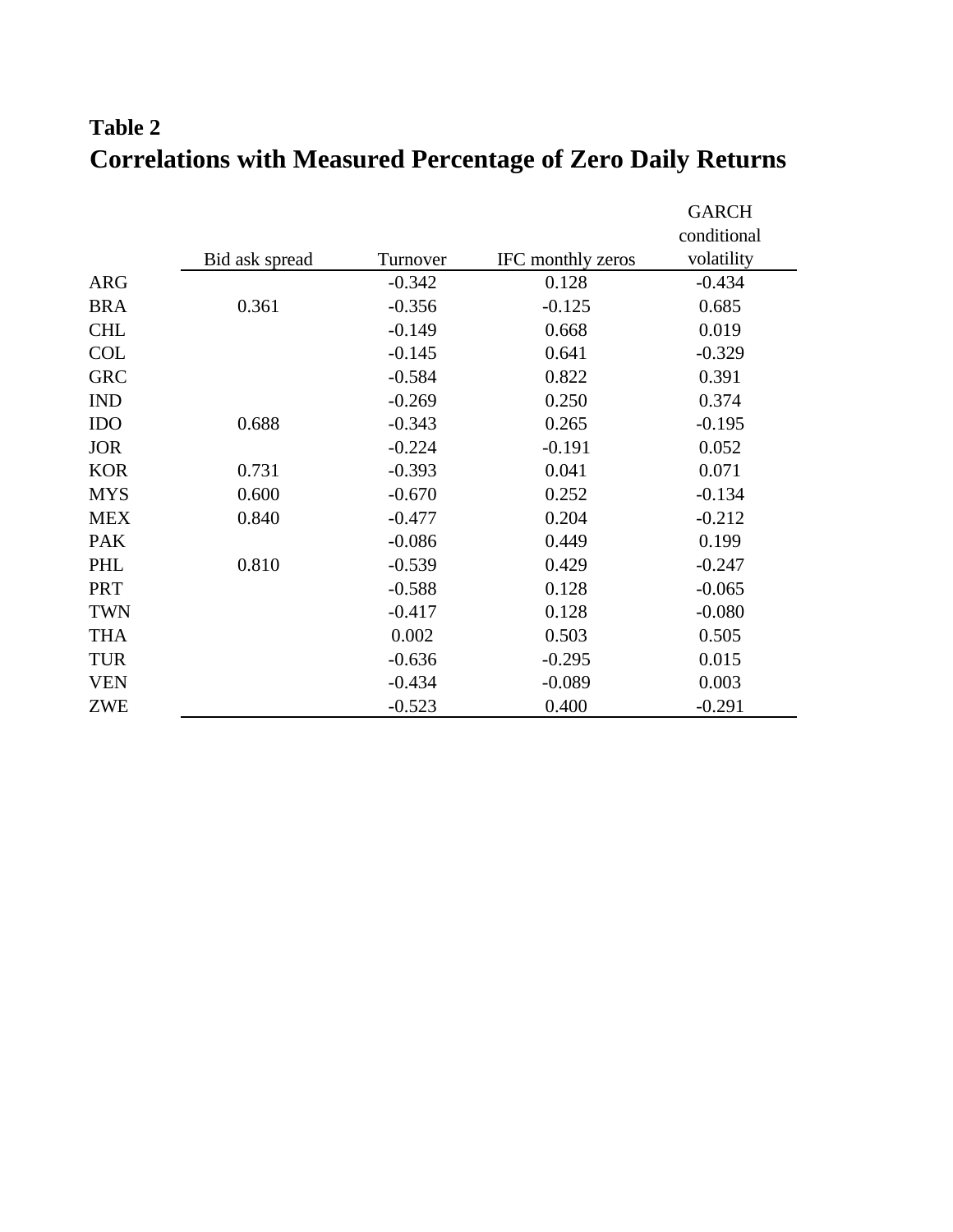# **Table 2 Correlations with Measured Percentage of Zero Daily Returns**

|            |                |          |                   | <b>GARCH</b> |
|------------|----------------|----------|-------------------|--------------|
|            |                |          |                   | conditional  |
|            | Bid ask spread | Turnover | IFC monthly zeros | volatility   |
| <b>ARG</b> |                | $-0.342$ | 0.128             | $-0.434$     |
| <b>BRA</b> | 0.361          | $-0.356$ | $-0.125$          | 0.685        |
| <b>CHL</b> |                | $-0.149$ | 0.668             | 0.019        |
| <b>COL</b> |                | $-0.145$ | 0.641             | $-0.329$     |
| <b>GRC</b> |                | $-0.584$ | 0.822             | 0.391        |
| <b>IND</b> |                | $-0.269$ | 0.250             | 0.374        |
| <b>IDO</b> | 0.688          | $-0.343$ | 0.265             | $-0.195$     |
| <b>JOR</b> |                | $-0.224$ | $-0.191$          | 0.052        |
| <b>KOR</b> | 0.731          | $-0.393$ | 0.041             | 0.071        |
| <b>MYS</b> | 0.600          | $-0.670$ | 0.252             | $-0.134$     |
| <b>MEX</b> | 0.840          | $-0.477$ | 0.204             | $-0.212$     |
| <b>PAK</b> |                | $-0.086$ | 0.449             | 0.199        |
| PHL        | 0.810          | $-0.539$ | 0.429             | $-0.247$     |
| <b>PRT</b> |                | $-0.588$ | 0.128             | $-0.065$     |
| <b>TWN</b> |                | $-0.417$ | 0.128             | $-0.080$     |
| <b>THA</b> |                | 0.002    | 0.503             | 0.505        |
| <b>TUR</b> |                | $-0.636$ | $-0.295$          | 0.015        |
| <b>VEN</b> |                | $-0.434$ | $-0.089$          | 0.003        |
| ZWE        |                | $-0.523$ | 0.400             | $-0.291$     |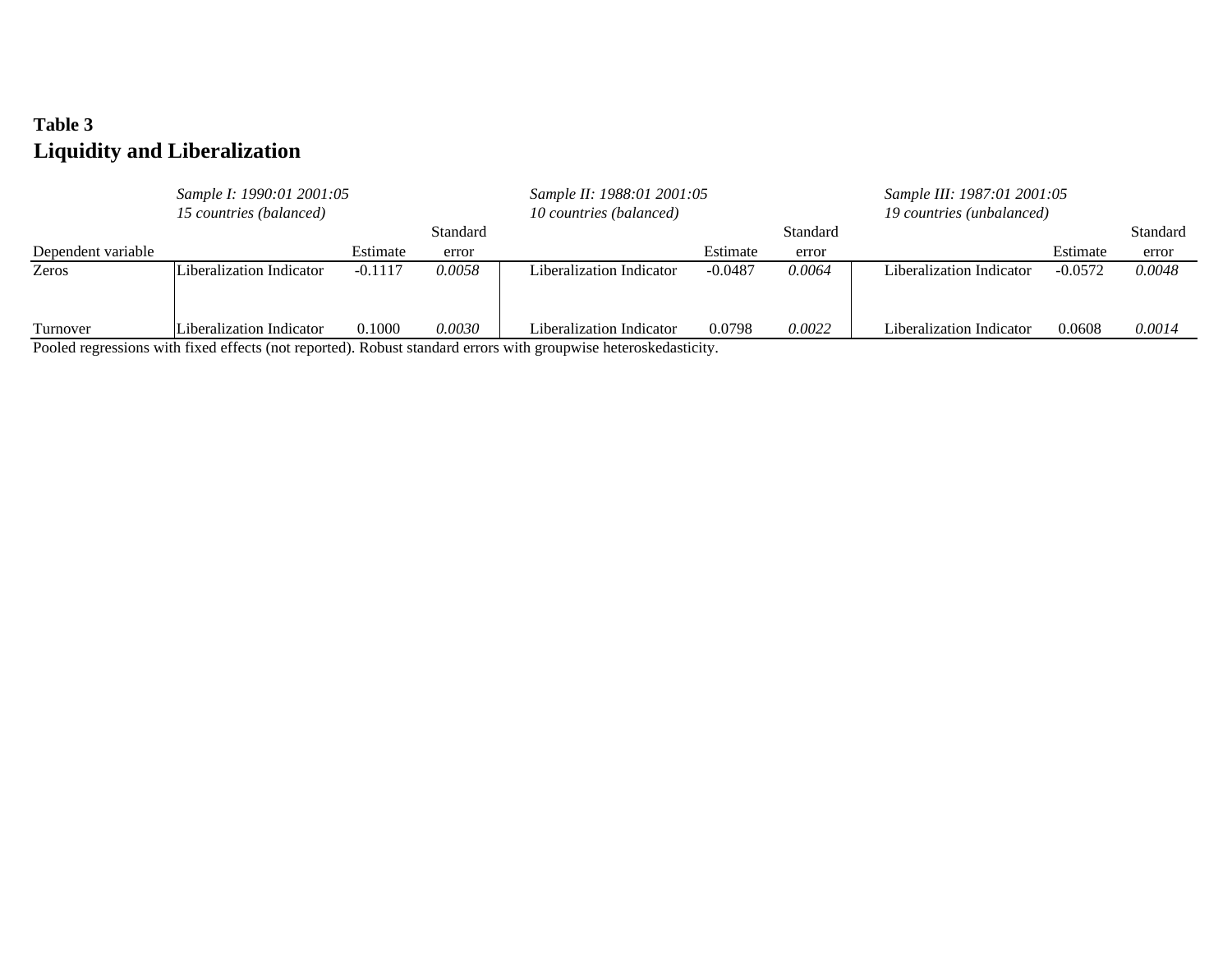## **Table 3 Liquidity and Liberalization**

|                    | Sample I: 1990:01 2001:05 |           |          | Sample II: 1988:01 2001:05                                                                                                                 |           |          | Sample III: 1987:01 2001:05 |           |          |
|--------------------|---------------------------|-----------|----------|--------------------------------------------------------------------------------------------------------------------------------------------|-----------|----------|-----------------------------|-----------|----------|
|                    | 15 countries (balanced)   |           |          | 10 countries (balanced)                                                                                                                    |           |          | 19 countries (unbalanced)   |           |          |
|                    |                           |           | Standard |                                                                                                                                            |           | Standard |                             |           | Standard |
| Dependent variable |                           | Estimate  | error    |                                                                                                                                            | Estimate  | error    |                             | Estimate  | error    |
| Zeros              | Liberalization Indicator  | $-0.1117$ | 0.0058   | Liberalization Indicator                                                                                                                   | $-0.0487$ | 0.0064   | Liberalization Indicator    | $-0.0572$ | 0.0048   |
| Turnover           | Liberalization Indicator  | 0.1000    | 0.0030   | Liberalization Indicator<br>Dealed accounting with Card official (actomagnes). Debitat standard cannon with conventing between leaderships | 0.0798    | 0.0022   | Liberalization Indicator    | 0.0608    | 0.0014   |

Pooled regressions with fixed effects (not reported). Robust standard errors with groupwise heteroskedasticity.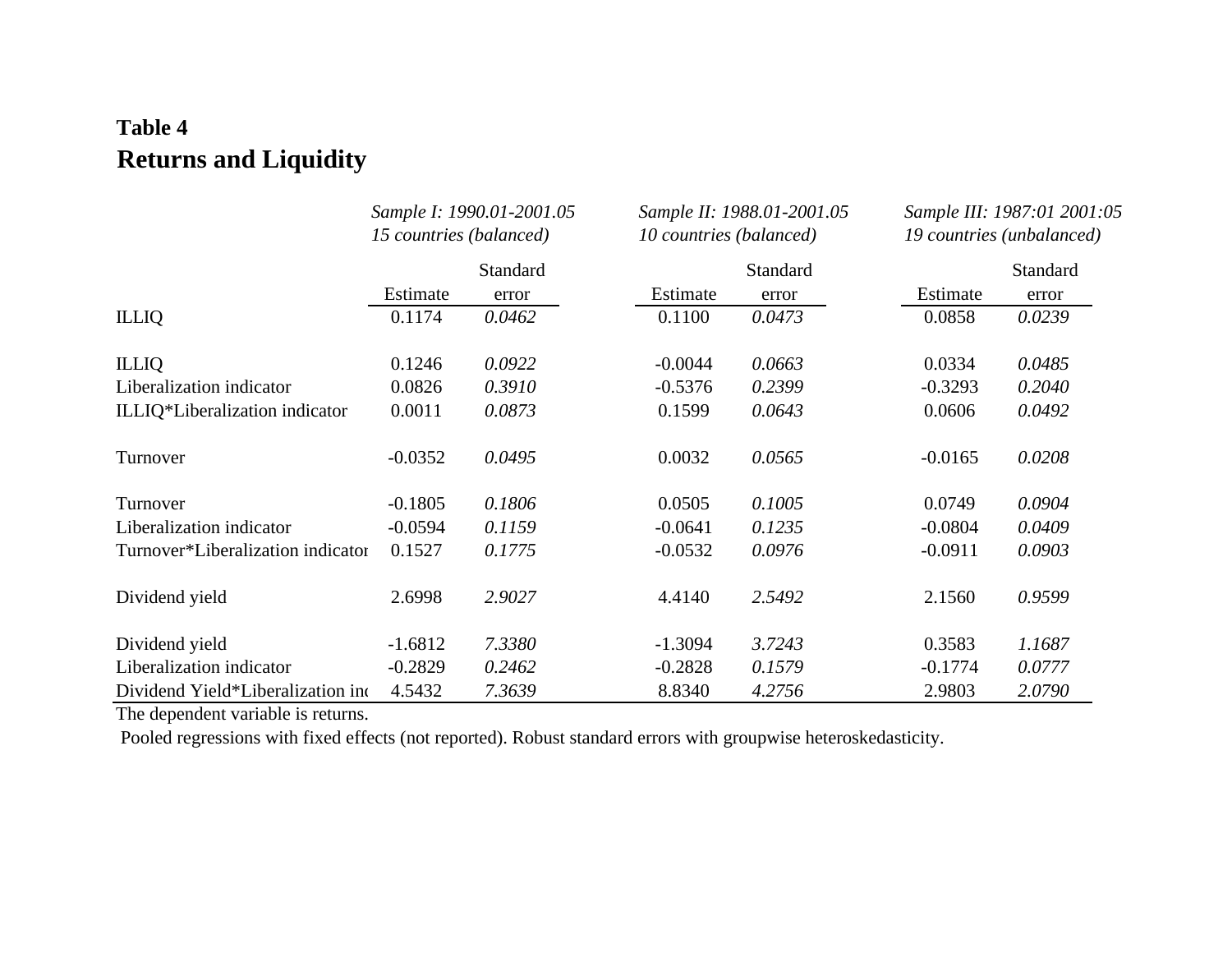# **Table 4 Returns and Liquidity**

|                                   | Sample I: 1990.01-2001.05<br>15 countries (balanced)<br>Standard |        | 10 countries (balanced) | Sample II: 1988.01-2001.05 | Sample III: 1987:01 2001:05<br>19 countries (unbalanced) |          |  |
|-----------------------------------|------------------------------------------------------------------|--------|-------------------------|----------------------------|----------------------------------------------------------|----------|--|
|                                   |                                                                  |        |                         | Standard                   |                                                          | Standard |  |
|                                   | Estimate                                                         | error  | Estimate                | error                      | Estimate                                                 | error    |  |
| <b>ILLIQ</b>                      | 0.1174                                                           | 0.0462 | 0.1100                  | 0.0473                     | 0.0858                                                   | 0.0239   |  |
| <b>ILLIQ</b>                      | 0.1246                                                           | 0.0922 | $-0.0044$               | 0.0663                     | 0.0334                                                   | 0.0485   |  |
| Liberalization indicator          | 0.0826                                                           | 0.3910 | $-0.5376$               | 0.2399                     | $-0.3293$                                                | 0.2040   |  |
| ILLIQ*Liberalization indicator    | 0.0011                                                           | 0.0873 | 0.1599                  | 0.0643                     | 0.0606                                                   | 0.0492   |  |
| Turnover                          | $-0.0352$                                                        | 0.0495 | 0.0032                  | 0.0565                     | $-0.0165$                                                | 0.0208   |  |
| Turnover                          | $-0.1805$                                                        | 0.1806 | 0.0505                  | 0.1005                     | 0.0749                                                   | 0.0904   |  |
| Liberalization indicator          | $-0.0594$                                                        | 0.1159 | $-0.0641$               | 0.1235                     | $-0.0804$                                                | 0.0409   |  |
| Turnover*Liberalization indicator | 0.1527                                                           | 0.1775 | $-0.0532$               | 0.0976                     | $-0.0911$                                                | 0.0903   |  |
| Dividend yield                    | 2.6998                                                           | 2.9027 | 4.4140                  | 2.5492                     | 2.1560                                                   | 0.9599   |  |
| Dividend yield                    | $-1.6812$                                                        | 7.3380 | $-1.3094$               | 3.7243                     | 0.3583                                                   | 1.1687   |  |
| Liberalization indicator          | $-0.2829$                                                        | 0.2462 | $-0.2828$               | 0.1579                     | $-0.1774$                                                | 0.0777   |  |
| Dividend Yield*Liberalization in  | 4.5432                                                           | 7.3639 | 8.8340                  | 4.2756                     | 2.9803                                                   | 2.0790   |  |

The dependent variable is returns.

Pooled regressions with fixed effects (not reported). Robust standard errors with groupwise heteroskedasticity.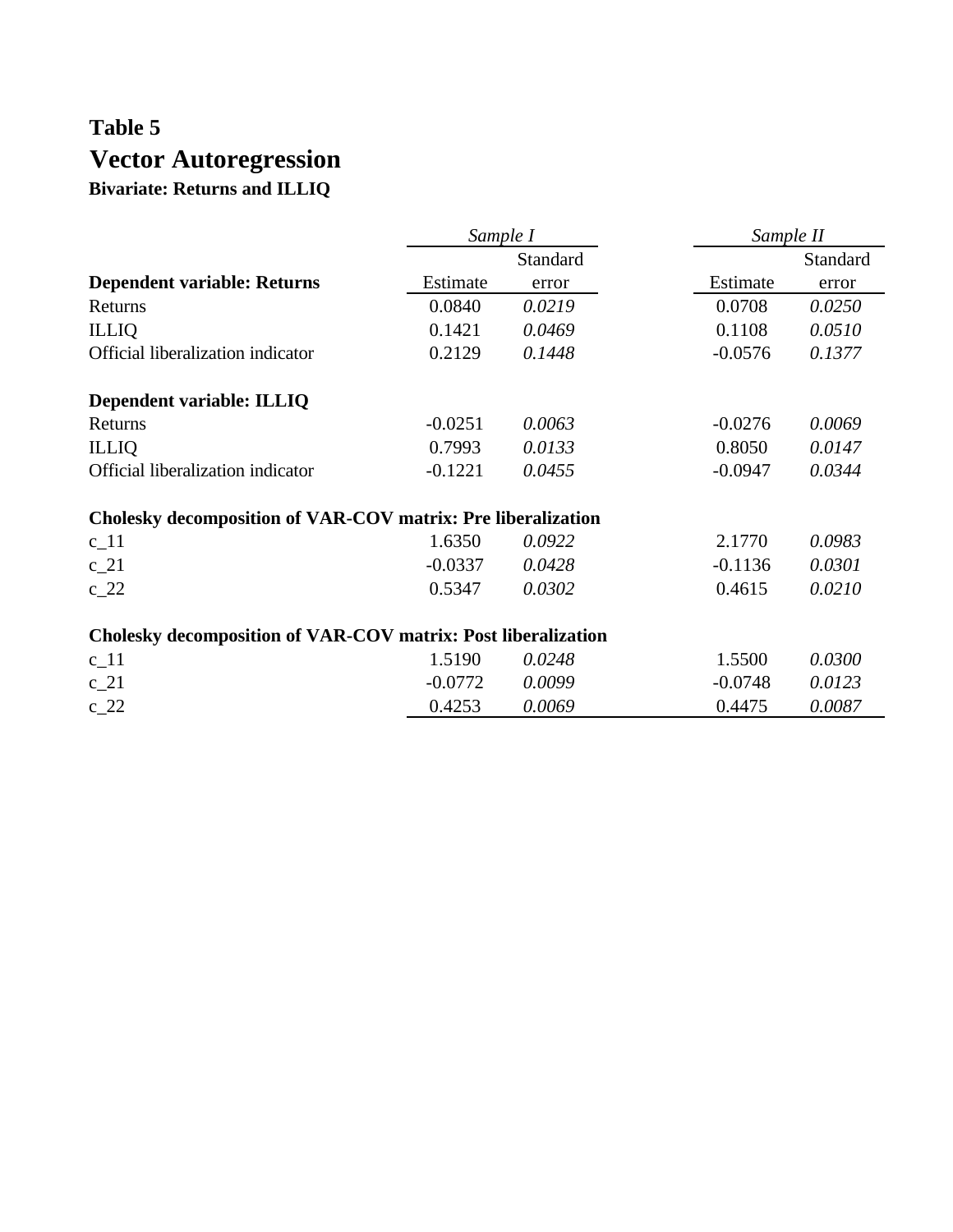## **Table 5 Vector Autoregression Bivariate: Returns and ILLIQ**

|                                                                     | Sample I        |        | Sample II |          |  |
|---------------------------------------------------------------------|-----------------|--------|-----------|----------|--|
|                                                                     | <b>Standard</b> |        |           | Standard |  |
| <b>Dependent variable: Returns</b>                                  | Estimate        | error  | Estimate  | error    |  |
| Returns                                                             | 0.0840          | 0.0219 | 0.0708    | 0.0250   |  |
| <b>ILLIQ</b>                                                        | 0.1421          | 0.0469 | 0.1108    | 0.0510   |  |
| Official liberalization indicator                                   | 0.2129          | 0.1448 | $-0.0576$ | 0.1377   |  |
| Dependent variable: ILLIQ                                           |                 |        |           |          |  |
| Returns                                                             | $-0.0251$       | 0.0063 | $-0.0276$ | 0.0069   |  |
| <b>ILLIQ</b>                                                        | 0.7993          | 0.0133 | 0.8050    | 0.0147   |  |
| Official liberalization indicator                                   | $-0.1221$       | 0.0455 | $-0.0947$ | 0.0344   |  |
| <b>Cholesky decomposition of VAR-COV matrix: Pre liberalization</b> |                 |        |           |          |  |
| $c_1$ 1                                                             | 1.6350          | 0.0922 | 2.1770    | 0.0983   |  |
| $c_2$ 1                                                             | $-0.0337$       | 0.0428 | $-0.1136$ | 0.0301   |  |
| $c_2$ 22                                                            | 0.5347          | 0.0302 | 0.4615    | 0.0210   |  |
| Cholesky decomposition of VAR-COV matrix: Post liberalization       |                 |        |           |          |  |
| $c_{11}$                                                            | 1.5190          | 0.0248 | 1.5500    | 0.0300   |  |
| $c_2$ 1                                                             | $-0.0772$       | 0.0099 | $-0.0748$ | 0.0123   |  |
| $c_2$                                                               | 0.4253          | 0.0069 | 0.4475    | 0.0087   |  |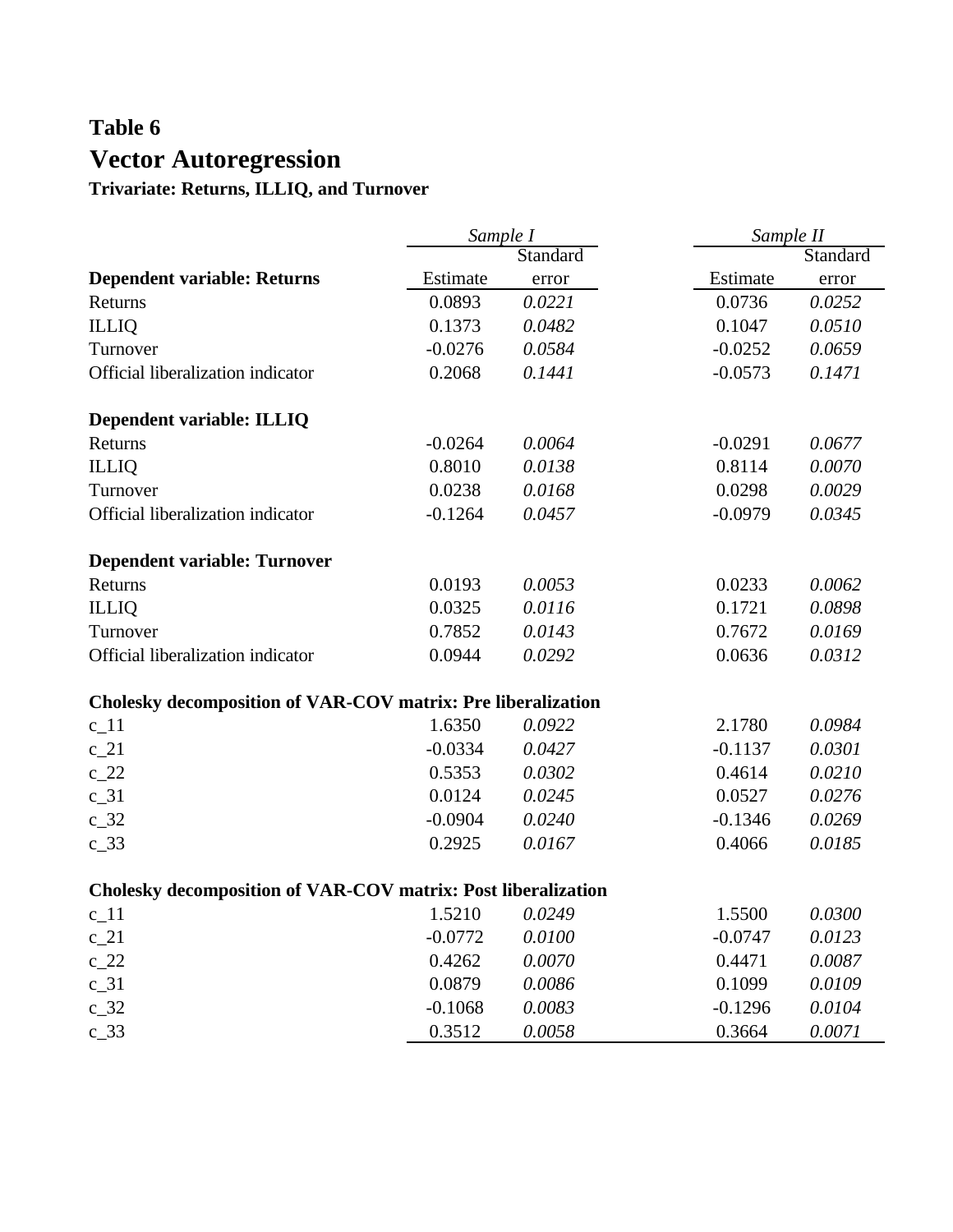# **Table 6 Vector Autoregression**

**Trivariate: Returns, ILLIQ, and Turnover**

|                                                                     | Sample I  |          | Sample II |          |  |
|---------------------------------------------------------------------|-----------|----------|-----------|----------|--|
|                                                                     |           | Standard |           | Standard |  |
| <b>Dependent variable: Returns</b>                                  | Estimate  | error    | Estimate  | error    |  |
| Returns                                                             | 0.0893    | 0.0221   | 0.0736    | 0.0252   |  |
| <b>ILLIQ</b>                                                        | 0.1373    | 0.0482   | 0.1047    | 0.0510   |  |
| Turnover                                                            | $-0.0276$ | 0.0584   | $-0.0252$ | 0.0659   |  |
| Official liberalization indicator                                   | 0.2068    | 0.1441   | $-0.0573$ | 0.1471   |  |
| Dependent variable: ILLIQ                                           |           |          |           |          |  |
| Returns                                                             | $-0.0264$ | 0.0064   | $-0.0291$ | 0.0677   |  |
| <b>ILLIQ</b>                                                        | 0.8010    | 0.0138   | 0.8114    | 0.0070   |  |
| Turnover                                                            | 0.0238    | 0.0168   | 0.0298    | 0.0029   |  |
| Official liberalization indicator                                   | $-0.1264$ | 0.0457   | $-0.0979$ | 0.0345   |  |
| <b>Dependent variable: Turnover</b>                                 |           |          |           |          |  |
| Returns                                                             | 0.0193    | 0.0053   | 0.0233    | 0.0062   |  |
| <b>ILLIQ</b>                                                        | 0.0325    | 0.0116   | 0.1721    | 0.0898   |  |
| Turnover                                                            | 0.7852    | 0.0143   | 0.7672    | 0.0169   |  |
| Official liberalization indicator                                   | 0.0944    | 0.0292   | 0.0636    | 0.0312   |  |
| <b>Cholesky decomposition of VAR-COV matrix: Pre liberalization</b> |           |          |           |          |  |
| $c_1$ 11                                                            | 1.6350    | 0.0922   | 2.1780    | 0.0984   |  |
| $c_2$ 1                                                             | $-0.0334$ | 0.0427   | $-0.1137$ | 0.0301   |  |
| $c_2$ 22                                                            | 0.5353    | 0.0302   | 0.4614    | 0.0210   |  |
| $c_{31}$                                                            | 0.0124    | 0.0245   | 0.0527    | 0.0276   |  |
| $c_32$                                                              | $-0.0904$ | 0.0240   | $-0.1346$ | 0.0269   |  |
| $c_{33}$                                                            | 0.2925    | 0.0167   | 0.4066    | 0.0185   |  |
| Cholesky decomposition of VAR-COV matrix: Post liberalization       |           |          |           |          |  |
| $c_{11}$                                                            | 1.5210    | 0.0249   | 1.5500    | 0.0300   |  |
| $c_2$ 1                                                             | $-0.0772$ | 0.0100   | $-0.0747$ | 0.0123   |  |
| $c_2$ 22                                                            | 0.4262    | 0.0070   | 0.4471    | 0.0087   |  |
| $c_{31}$                                                            | 0.0879    | 0.0086   | 0.1099    | 0.0109   |  |
| $c_{32}$                                                            | $-0.1068$ | 0.0083   | $-0.1296$ | 0.0104   |  |
| $c_{33}$                                                            | 0.3512    | 0.0058   | 0.3664    | 0.0071   |  |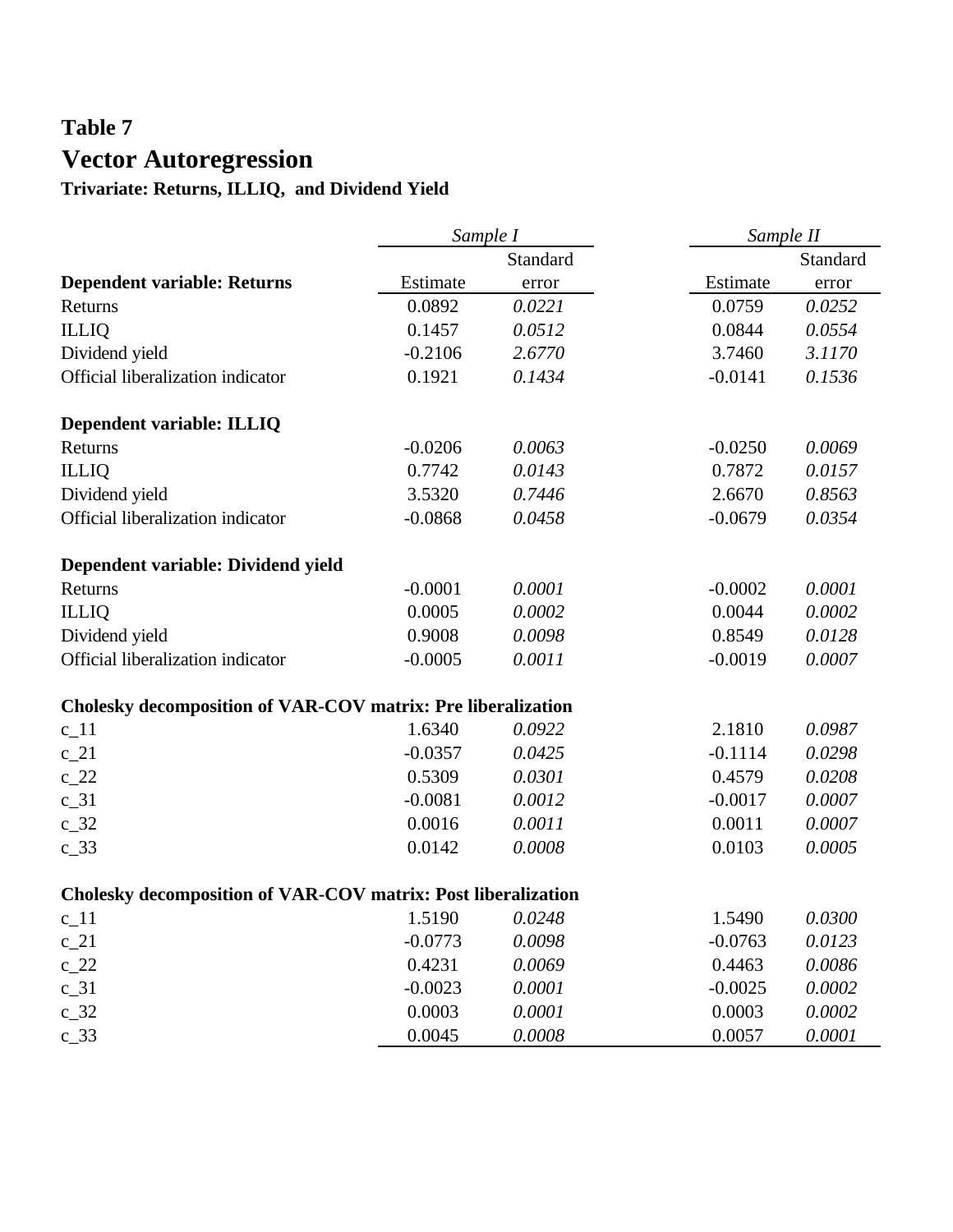# **Table 7 Vector Autoregression**

**Trivariate: Returns, ILLIQ, and Dividend Yield**

|                                                               | Sample I  |          |           | Sample II |
|---------------------------------------------------------------|-----------|----------|-----------|-----------|
|                                                               |           | Standard |           | Standard  |
| <b>Dependent variable: Returns</b>                            | Estimate  | error    | Estimate  | error     |
| Returns                                                       | 0.0892    | 0.0221   | 0.0759    | 0.0252    |
| <b>ILLIQ</b>                                                  | 0.1457    | 0.0512   | 0.0844    | 0.0554    |
| Dividend yield                                                | $-0.2106$ | 2.6770   | 3.7460    | 3.1170    |
| Official liberalization indicator                             | 0.1921    | 0.1434   | $-0.0141$ | 0.1536    |
| Dependent variable: ILLIQ                                     |           |          |           |           |
| Returns                                                       | $-0.0206$ | 0.0063   | $-0.0250$ | 0.0069    |
| <b>ILLIQ</b>                                                  | 0.7742    | 0.0143   | 0.7872    | 0.0157    |
| Dividend yield                                                | 3.5320    | 0.7446   | 2.6670    | 0.8563    |
| Official liberalization indicator                             | $-0.0868$ | 0.0458   | $-0.0679$ | 0.0354    |
| Dependent variable: Dividend yield                            |           |          |           |           |
| Returns                                                       | $-0.0001$ | 0.0001   | $-0.0002$ | 0.0001    |
| <b>ILLIQ</b>                                                  | 0.0005    | 0.0002   | 0.0044    | 0.0002    |
| Dividend yield                                                | 0.9008    | 0.0098   | 0.8549    | 0.0128    |
| Official liberalization indicator                             | $-0.0005$ | 0.0011   | $-0.0019$ | 0.0007    |
| Cholesky decomposition of VAR-COV matrix: Pre liberalization  |           |          |           |           |
| $c_1$ 1                                                       | 1.6340    | 0.0922   | 2.1810    | 0.0987    |
| $c_2$ 21                                                      | $-0.0357$ | 0.0425   | $-0.1114$ | 0.0298    |
| $c_2$                                                         | 0.5309    | 0.0301   | 0.4579    | 0.0208    |
| $c_31$                                                        | $-0.0081$ | 0.0012   | $-0.0017$ | 0.0007    |
| $c_32$                                                        | 0.0016    | 0.0011   | 0.0011    | 0.0007    |
| $c_{33}$                                                      | 0.0142    | 0.0008   | 0.0103    | 0.0005    |
| Cholesky decomposition of VAR-COV matrix: Post liberalization |           |          |           |           |
| $c_{11}$                                                      | 1.5190    | 0.0248   | 1.5490    | 0.0300    |
| $c_2$ 1                                                       | $-0.0773$ | 0.0098   | $-0.0763$ | 0.0123    |
| $c_2$ 22                                                      | 0.4231    | 0.0069   | 0.4463    | 0.0086    |
| $c_{31}$                                                      | $-0.0023$ | 0.0001   | $-0.0025$ | 0.0002    |
| $c_{32}$                                                      | 0.0003    | 0.0001   | 0.0003    | 0.0002    |
| $c_{33}$                                                      | 0.0045    | 0.0008   | 0.0057    | 0.0001    |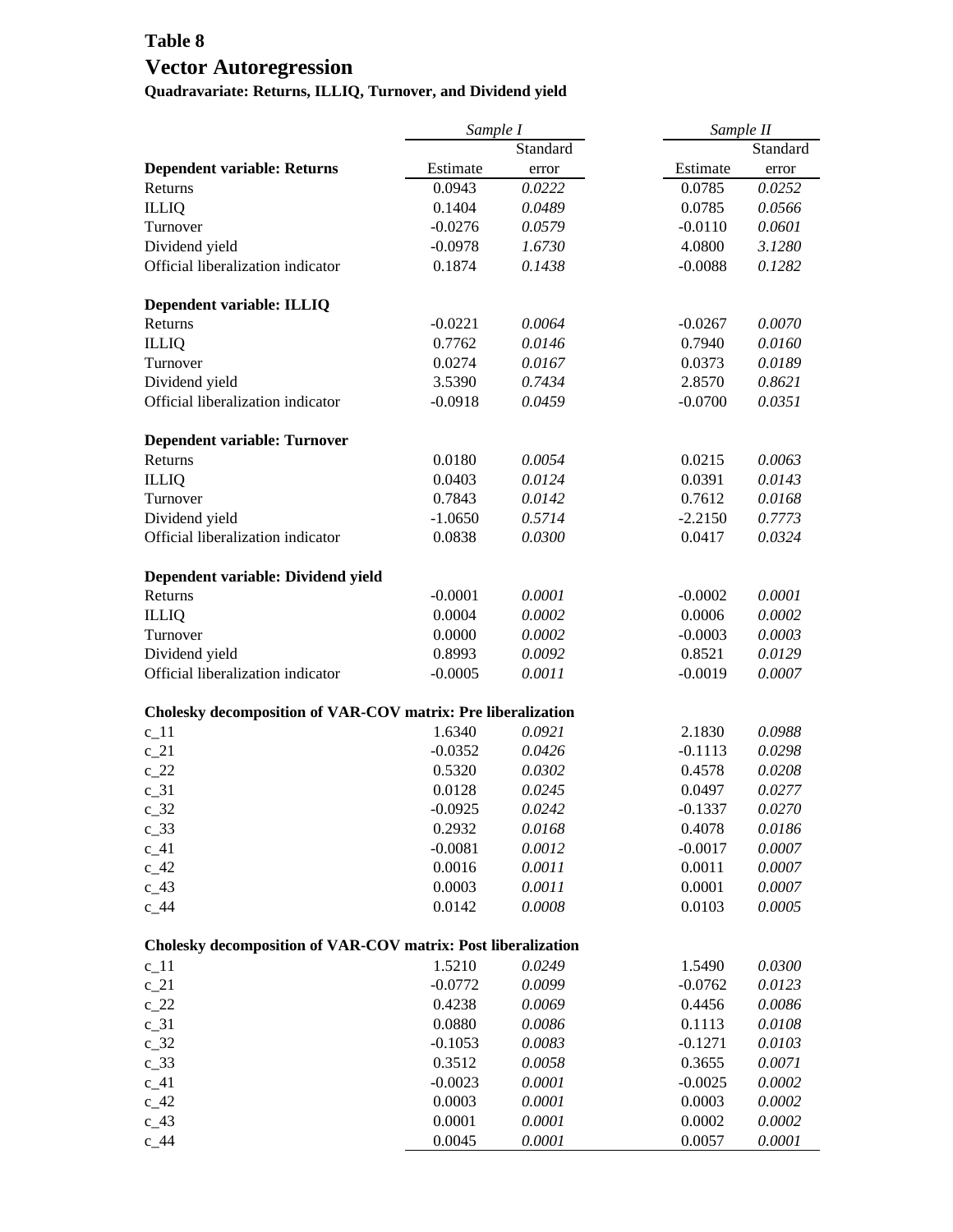## **Table 8 Vector Autoregression**

**Quadravariate: Returns, ILLIQ, Turnover, and Dividend yield**

|                                                               | Sample I  |          | Sample II           |  |  |  |
|---------------------------------------------------------------|-----------|----------|---------------------|--|--|--|
|                                                               |           | Standard | Standard            |  |  |  |
| <b>Dependent variable: Returns</b>                            | Estimate  | error    | Estimate<br>error   |  |  |  |
| Returns                                                       | 0.0943    | 0.0222   | 0.0785<br>0.0252    |  |  |  |
| <b>ILLIQ</b>                                                  | 0.1404    | 0.0489   | 0.0785<br>0.0566    |  |  |  |
| Turnover                                                      | $-0.0276$ | 0.0579   | 0.0601<br>$-0.0110$ |  |  |  |
| Dividend yield                                                | $-0.0978$ | 1.6730   | 4.0800<br>3.1280    |  |  |  |
| Official liberalization indicator                             | 0.1874    | 0.1438   | $-0.0088$<br>0.1282 |  |  |  |
| Dependent variable: ILLIQ                                     |           |          |                     |  |  |  |
| Returns                                                       | $-0.0221$ | 0.0064   | $-0.0267$<br>0.0070 |  |  |  |
| <b>ILLIQ</b>                                                  | 0.7762    | 0.0146   | 0.7940<br>0.0160    |  |  |  |
| Turnover                                                      | 0.0274    | 0.0167   | 0.0373<br>0.0189    |  |  |  |
| Dividend yield                                                | 3.5390    | 0.7434   | 2.8570<br>0.8621    |  |  |  |
| Official liberalization indicator                             | $-0.0918$ | 0.0459   | $-0.0700$<br>0.0351 |  |  |  |
| <b>Dependent variable: Turnover</b>                           |           |          |                     |  |  |  |
| Returns                                                       | 0.0180    | 0.0054   | 0.0063<br>0.0215    |  |  |  |
| <b>ILLIQ</b>                                                  | 0.0403    | 0.0124   | 0.0391<br>0.0143    |  |  |  |
| Turnover                                                      | 0.7843    | 0.0142   | 0.7612<br>0.0168    |  |  |  |
| Dividend yield                                                | $-1.0650$ | 0.5714   | 0.7773<br>$-2.2150$ |  |  |  |
| Official liberalization indicator                             | 0.0838    | 0.0300   | 0.0417<br>0.0324    |  |  |  |
| Dependent variable: Dividend yield                            |           |          |                     |  |  |  |
| Returns                                                       | $-0.0001$ | 0.0001   | $-0.0002$<br>0.0001 |  |  |  |
| <b>ILLIQ</b>                                                  | 0.0004    | 0.0002   | 0.0006<br>0.0002    |  |  |  |
| Turnover                                                      | 0.0000    | 0.0002   | $-0.0003$<br>0.0003 |  |  |  |
| Dividend yield                                                | 0.8993    | 0.0092   | 0.0129<br>0.8521    |  |  |  |
| Official liberalization indicator                             | $-0.0005$ | 0.0011   | $-0.0019$<br>0.0007 |  |  |  |
| Cholesky decomposition of VAR-COV matrix: Pre liberalization  |           |          |                     |  |  |  |
| $c_1$ 1                                                       | 1.6340    | 0.0921   | 2.1830<br>0.0988    |  |  |  |
| $c_2$ 1                                                       | $-0.0352$ | 0.0426   | 0.0298<br>$-0.1113$ |  |  |  |
| $c_2$ 22                                                      | 0.5320    | 0.0302   | 0.0208<br>0.4578    |  |  |  |
| $c_31$                                                        | 0.0128    | 0.0245   | 0.0497<br>0.0277    |  |  |  |
| $c_32$                                                        | $-0.0925$ | 0.0242   | 0.0270<br>$-0.1337$ |  |  |  |
| $c_{33}$                                                      | 0.2932    | 0.0168   | 0.4078<br>0.0186    |  |  |  |
| $c_41$                                                        | $-0.0081$ | 0.0012   | $-0.0017$<br>0.0007 |  |  |  |
| $c_42$                                                        | 0.0016    | 0.0011   | 0.0011<br>0.0007    |  |  |  |
| $c_{43}$                                                      | 0.0003    | 0.0011   | 0.0001<br>0.0007    |  |  |  |
| $c_44$                                                        | 0.0142    | 0.0008   | 0.0103<br>0.0005    |  |  |  |
| Cholesky decomposition of VAR-COV matrix: Post liberalization |           |          |                     |  |  |  |
| $c_1$ 11                                                      | 1.5210    | 0.0249   | 0.0300<br>1.5490    |  |  |  |
| $c_2$ 21                                                      | $-0.0772$ | 0.0099   | 0.0123<br>$-0.0762$ |  |  |  |
| $c_2$ 22                                                      | 0.4238    | 0.0069   | 0.4456<br>0.0086    |  |  |  |
| $c_31$                                                        | 0.0880    | 0.0086   | 0.1113<br>0.0108    |  |  |  |
| $c_32$                                                        | $-0.1053$ | 0.0083   | $-0.1271$<br>0.0103 |  |  |  |
| $c_{33}$                                                      | 0.3512    | 0.0058   | 0.3655<br>0.0071    |  |  |  |
| $c_41$                                                        | $-0.0023$ | 0.0001   | $-0.0025$<br>0.0002 |  |  |  |
| $c_42$                                                        | 0.0003    | 0.0001   | 0.0003<br>0.0002    |  |  |  |
| $c_{43}$                                                      | 0.0001    | 0.0001   | 0.0002<br>0.0002    |  |  |  |
| $c_44$                                                        | 0.0045    | 0.0001   | 0.0057<br>0.0001    |  |  |  |